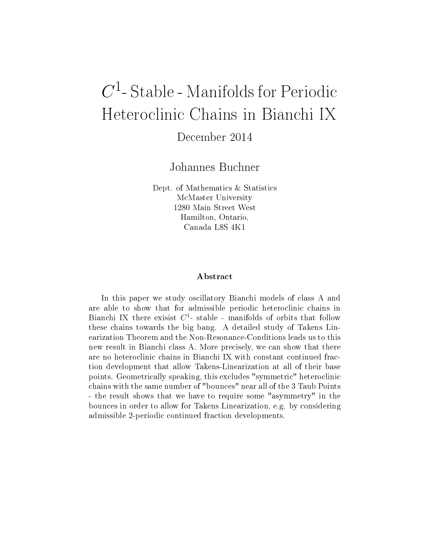# $C^1$ - Stable - Manifolds for Periodic Heteroclinic Chains in Bianchi IX

December 2014

Johannes Buchner

Dept. of Mathematics & Statistics McMaster University 1280 Main Street West Hamilton, Ontario, Canada L8S 4K1

#### ${\bf A}$ bstract

In this paper we study oscillatory Bianchi models of class A and are able to show that for admissible periodic heteroclinic chains in Bianchi IX there exisist  $C^1$ - stable - manifolds of orbits that follow these chains towards the big bang. A detailed study of Takens Linearization Theorem and the Non-Resonance-Conditions leads us to this new result in Bianchi class A. More precisely, we can show that there are no heteroclinic chains in Bianchi IX with constant continued fraction development that allow Takens-Linearization at all of their base points. Geometrically speaking, this excludes "symmetric" heteroclinic chains with the same number of "bounces" near all of the 3 Taub Points - the result shows that we have to require some "asymmetry" in the bounces in order to allow for Takens Linearization, e.g. by considering admissible 2-periodic continued fraction developments.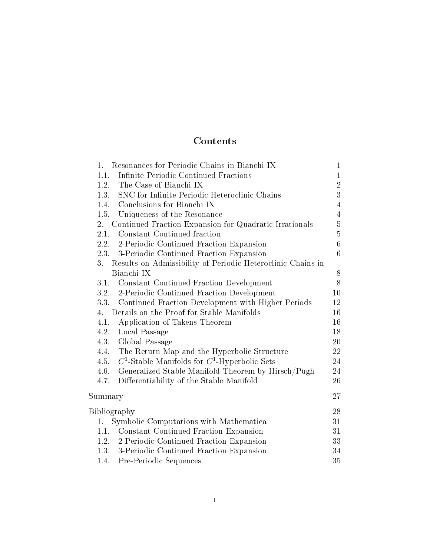# Contents

| Resonances for Periodic Chains in Bianchi IX<br>1.                | $\mathbf{1}$   |
|-------------------------------------------------------------------|----------------|
| Infinite Periodic Continued Fractions<br>1.1.                     | $\mathbf{1}$   |
| 1.2. The Case of Bianchi IX                                       | $\overline{2}$ |
| 1.3. SNC for Infinite Periodic Heteroclinic Chains                | 3              |
| 1.4. Conclusions for Bianchi IX                                   | $\overline{4}$ |
| 1.5. Uniqueness of the Resonance                                  | $\overline{4}$ |
| Continued Fraction Expansion for Quadratic Irrationals<br>2.      | $\overline{5}$ |
| 2.1. Constant Continued fraction                                  | $\overline{5}$ |
| 2.2. 2-Periodic Continued Fraction Expansion                      | $\overline{6}$ |
| 2.3. 3-Periodic Continued Fraction Expansion                      | 6              |
| 3.<br>Results on Admissibility of Periodic Heteroclinic Chains in |                |
| Bianchi IX                                                        | 8              |
| 3.1. Constant Continued Fraction Development                      | 8              |
| 3.2. 2-Periodic Continued Fraction Development                    | 10             |
| 3.3. Continued Fraction Development with Higher Periods           | 12             |
| Details on the Proof for Stable Manifolds<br>4.                   | 16             |
| Application of Takens Theorem<br>4.1.                             | 16             |
| 4.2.<br>Local Passage                                             | 18             |
| 4.3. Global Passage                                               | 20             |
| The Return Map and the Hyperbolic Structure<br>4.4.               | 22             |
| $C^1$ -Stable Manifolds for $C^1$ -Hyperbolic Sets<br>4.5.        | 24             |
| 4.6. Generalized Stable Manifold Theorem by Hirsch/Pugh           | 24             |
| 4.7.<br>Differentiability of the Stable Manifold                  | 26             |
| Summary                                                           | 27             |
| Bibliography                                                      | 28             |
| Symbolic Computations with Mathematica<br>1.                      | 31             |
| 1.1. Constant Continued Fraction Expansion                        | 31             |
| 1.2. 2-Periodic Continued Fraction Expansion                      | 33             |
| 1.3. 3-Periodic Continued Fraction Expansion                      | 34             |
| 1.4. Pre-Periodic Sequences                                       | 35             |
|                                                                   |                |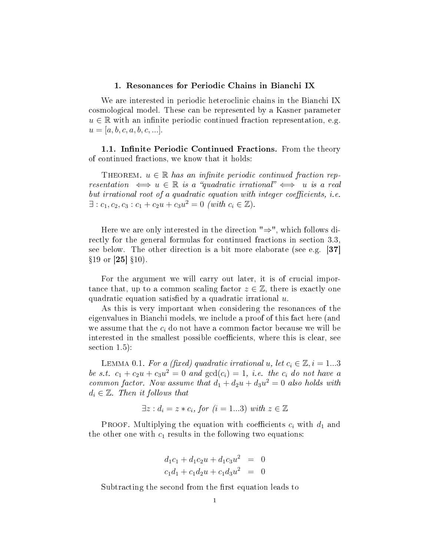#### 1. Resonances for Periodic Chains in Bianchi IX

We are interested in periodic heteroclinic chains in the Bianchi IX cosmological model. These can be represented by a Kasner parameter  $u \in \mathbb{R}$  with an infinite periodic continued fraction representation, e.g.  $u = [a, b, c, a, b, c, ...].$ 

1.1. Infinite Periodic Continued Fractions. From the theory of continued fractions, we know that it holds:

THEOREM.  $u \in \mathbb{R}$  has an infinite periodic continued fraction representation  $\iff u \in \mathbb{R}$  is a "quadratic irrational"  $\iff u$  is a real but irrational root of a quadratic equation with integer coefficients, i.e.  $\exists$ :  $c_1, c_2, c_3$ :  $c_1 + c_2u + c_3u^2 = 0$  (with  $c_i \in \mathbb{Z}$ ).

Here we are only interested in the direction "⇒", which follows directly for the general formulas for continued fractions in section 3.3, see below. The other direction is a bit more elaborate (see e.g.  $|37|$  $§19$  or [25]  $§10$ ).

For the argument we will carry out later, it is of crucial importance that, up to a common scaling factor  $z \in \mathbb{Z}$ , there is exactly one quadratic equation satisfied by a quadratic irrational  $u$ .

As this is very important when considering the resonances of the eigenvalues in Bianchi models, we include a proof of this fact here (and we assume that the  $c_i$  do not have a common factor because we will be interested in the smallest possible coefficients, where this is clear, see section 1.5):

LEMMA 0.1. For a (fixed) quadratic irrational u, let  $c_i \in \mathbb{Z}, i = 1...3$ be s.t.  $c_1 + c_2 u + c_3 u^2 = 0$  and  $gcd(c_i) = 1$ , i.e. the  $c_i$  do not have a common factor. Now assume that  $d_1 + d_2u + d_3u^2 = 0$  also holds with  $d_i \in \mathbb{Z}$ . Then it follows that

$$
\exists z : d_i = z * c_i, \text{ for } (i = 1...3) \text{ with } z \in \mathbb{Z}
$$

PROOF. Multiplying the equation with coefficients  $c_i$  with  $d_1$  and the other one with  $c_1$  results in the following two equations:

$$
d_1c_1 + d_1c_2u + d_1c_3u^2 = 0
$$
  

$$
c_1d_1 + c_1d_2u + c_1d_3u^2 = 0
$$

Subtracting the second from the first equation leads to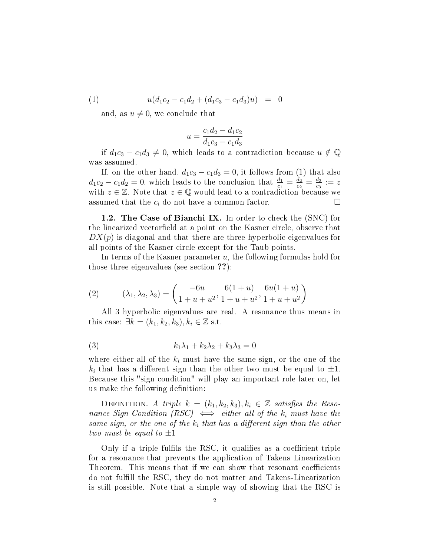(1) 
$$
u(d_1c_2 - c_1d_2 + (d_1c_3 - c_1d_3)u) = 0
$$

and, as  $u \neq 0$ , we conclude that

$$
u = \frac{c_1 d_2 - d_1 c_2}{d_1 c_3 - c_1 d_3}
$$

if  $d_1c_3 - c_1d_3 \neq 0$ , which leads to a contradiction because  $u \notin \mathbb{Q}$ was assumed.

If, on the other hand,  $d_1c_3 - c_1d_3 = 0$ , it follows from (1) that also  $d_1c_2 - c_1d_2 = 0$ , which leads to the conclusion that  $\frac{d_1}{c_1} = \frac{d_2}{c_2}$  $\frac{d_2}{c_2}=\frac{d_3}{c_3}$  $\frac{d_3}{c_3} := z$ with  $z \in \mathbb{Z}$ . Note that  $z \in \mathbb{Q}$  would lead to a contradiction because we assumed that the  $c_i$  do not have a common factor.

1.2. The Case of Bianchi IX. In order to check the (SNC) for the linearized vectorfield at a point on the Kasner circle, observe that  $DX(p)$  is diagonal and that there are three hyperbolic eigenvalues for all points of the Kasner circle except for the Taub points.

In terms of the Kasner parameter  $u$ , the following formulas hold for those three eigenvalues (see section ??):

(2) 
$$
(\lambda_1, \lambda_2, \lambda_3) = \left(\frac{-6u}{1+u+u^2}, \frac{6(1+u)}{1+u+u^2}, \frac{6u(1+u)}{1+u+u^2}\right)
$$

All 3 hyperbolic eigenvalues are real. A resonance thus means in this case:  $\exists k = (k_1, k_2, k_3), k_i \in \mathbb{Z}$  s.t.

$$
(3) \qquad k_1\lambda_1 + k_2\lambda_2 + k_3\lambda_3 = 0
$$

where either all of the  $k_i$  must have the same sign, or the one of the  $k_i$  that has a different sign than the other two must be equal to  $\pm 1$ . Because this "sign condition" will play an important role later on, let us make the following definition:

DEFINITION. A triple  $k = (k_1, k_2, k_3), k_i \in \mathbb{Z}$  satisfies the Resonance Sign Condition (RSC)  $\iff$  either all of the  $k_i$  must have the same sign, or the one of the  $k_i$  that has a different sign than the other two must be equal to  $\pm 1$ 

Only if a triple fulfils the RSC, it qualifies as a coefficient-triple for a resonance that prevents the application of Takens Linearization Theorem. This means that if we can show that resonant coefficients do not fulll the RSC, they do not matter and Takens-Linearization is still possible. Note that a simple way of showing that the RSC is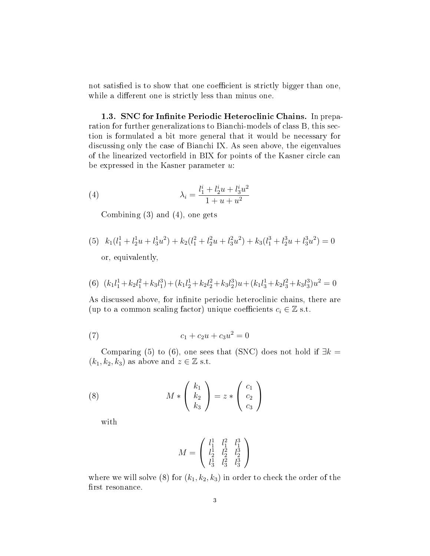not satisfied is to show that one coefficient is strictly bigger than one, while a different one is strictly less than minus one.

1.3. SNC for Infinite Periodic Heteroclinic Chains. In preparation for further generalizations to Bianchi-models of class B, this section is formulated a bit more general that it would be necessary for discussing only the case of Bianchi IX. As seen above, the eigenvalues of the linearized vectorfield in BIX for points of the Kasner circle can be expressed in the Kasner parameter  $u$ :

(4) 
$$
\lambda_i = \frac{l_1^i + l_2^i u + l_3^i u^2}{1 + u + u^2}
$$

Combining (3) and (4), one gets

(5)  $k_1(l_1^1 + l_2^1u + l_3^1u^2) + k_2(l_1^2 + l_2^2u + l_3^2u^2) + k_3(l_1^3 + l_2^3u + l_3^3u^2) = 0$ or, equivalently,

(6) 
$$
(k_1l_1^1 + k_2l_1^2 + k_3l_1^3) + (k_1l_2^1 + k_2l_2^2 + k_3l_2^3)u + (k_1l_3^1 + k_2l_3^2 + k_3l_3^3)u^2 = 0
$$

As discussed above, for infinite periodic heteroclinic chains, there are (up to a common scaling factor) unique coefficients  $c_i \in \mathbb{Z}$  s.t.

(7) 
$$
c_1 + c_2 u + c_3 u^2 = 0
$$

Comparing (5) to (6), one sees that (SNC) does not hold if  $\exists k =$  $(k_1, k_2, k_3)$  as above and  $z \in \mathbb{Z}$  s.t.

(8) 
$$
M * \begin{pmatrix} k_1 \\ k_2 \\ k_3 \end{pmatrix} = z * \begin{pmatrix} c_1 \\ c_2 \\ c_3 \end{pmatrix}
$$

with

$$
M = \left(\begin{array}{ccc} l_1^1 & l_1^2 & l_1^3 \\ l_2^1 & l_2^2 & l_2^3 \\ l_3^1 & l_3^2 & l_3^3 \end{array}\right)
$$

where we will solve (8) for  $(k_1, k_2, k_3)$  in order to check the order of the first resonance.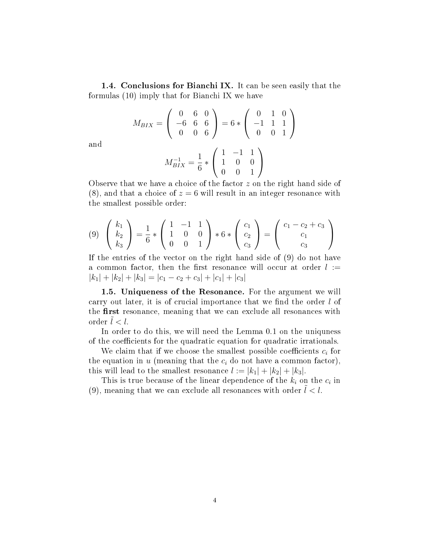1.4. Conclusions for Bianchi IX. It can be seen easily that the formulas (10) imply that for Bianchi IX we have

$$
M_{BIX} = \left(\begin{array}{rrr} 0 & 6 & 0 \\ -6 & 6 & 6 \\ 0 & 0 & 6 \end{array}\right) = 6 * \left(\begin{array}{rrr} 0 & 1 & 0 \\ -1 & 1 & 1 \\ 0 & 0 & 1 \end{array}\right)
$$

and

$$
M_{BIX}^{-1} = \frac{1}{6} * \left( \begin{array}{rrr} 1 & -1 & 1 \\ 1 & 0 & 0 \\ 0 & 0 & 1 \end{array} \right)
$$

Observe that we have a choice of the factor z on the right hand side of  $(8)$ , and that a choice of  $z = 6$  will result in an integer resonance with the smallest possible order:

$$
(9) \begin{pmatrix} k_1 \\ k_2 \\ k_3 \end{pmatrix} = \frac{1}{6} * \begin{pmatrix} 1 & -1 & 1 \\ 1 & 0 & 0 \\ 0 & 0 & 1 \end{pmatrix} * 6 * \begin{pmatrix} c_1 \\ c_2 \\ c_3 \end{pmatrix} = \begin{pmatrix} c_1 - c_2 + c_3 \\ c_1 \\ c_3 \end{pmatrix}
$$

If the entries of the vector on the right hand side of (9) do not have a common factor, then the first resonance will occur at order  $l :=$  $|k_1| + |k_2| + |k_3| = |c_1 - c_2 + c_3| + |c_1| + |c_3|$ 

1.5. Uniqueness of the Resonance. For the argument we will carry out later, it is of crucial importance that we find the order  $l$  of the first resonance, meaning that we can exclude all resonances with order  $l < l$ .

In order to do this, we will need the Lemma 0.1 on the uniquness of the coefficients for the quadratic equation for quadratic irrationals.

We claim that if we choose the smallest possible coefficients  $c_i$  for the equation in  $u$  (meaning that the  $c_i$  do not have a common factor), this will lead to the smallest resonance  $l := |k_1| + |k_2| + |k_3|$ .

This is true because of the linear dependence of the  $k_i$  on the  $c_i$  in (9), meaning that we can exclude all resonances with order  $l < l$ .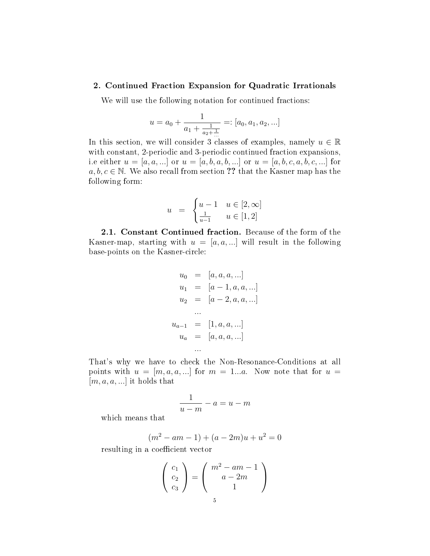#### 2. Continued Fraction Expansion for Quadratic Irrationals

We will use the following notation for continued fractions:

$$
u = a_0 + \frac{1}{a_1 + \frac{1}{a_2 + \frac{1}{\ldots}}} =: [a_0, a_1, a_2, \ldots]
$$

In this section, we will consider 3 classes of examples, namely  $u \in \mathbb{R}$ with constant, 2-periodic and 3-periodic continued fraction expansions, i.e either  $u = [a, a, ...]$  or  $u = [a, b, a, b, ...]$  or  $u = [a, b, c, a, b, c, ...]$  for  $a, b, c \in \mathbb{N}$ . We also recall from section ?? that the Kasner map has the following form:

$$
u = \begin{cases} u-1 & u \in [2,\infty] \\ \frac{1}{u-1} & u \in [1,2] \end{cases}
$$

2.1. Constant Continued fraction. Because of the form of the Kasner-map, starting with  $u = [a, a, \ldots]$  will result in the following base-points on the Kasner-circle:

$$
u_0 = [a, a, a, ...]
$$
  
\n
$$
u_1 = [a - 1, a, a, ...]
$$
  
\n
$$
u_2 = [a - 2, a, a, ...]
$$
  
\n
$$
u_{a-1} = [1, a, a, ...]
$$
  
\n
$$
u_a = [a, a, a, ...]
$$
  
\n...

That's why we have to check the Non-Resonance-Conditions at all points with  $u = [m, a, a, ...]$  for  $m = 1...a$ . Now note that for  $u =$  $[m, a, a, \ldots]$  it holds that

$$
\frac{1}{u-m} - a = u - m
$$

which means that

$$
(m2 - am - 1) + (a - 2m)u + u2 = 0
$$

resulting in a coefficient vector

$$
\begin{pmatrix} c_1 \\ c_2 \\ c_3 \end{pmatrix} = \begin{pmatrix} m^2 - am - 1 \\ a - 2m \\ 1 \end{pmatrix}
$$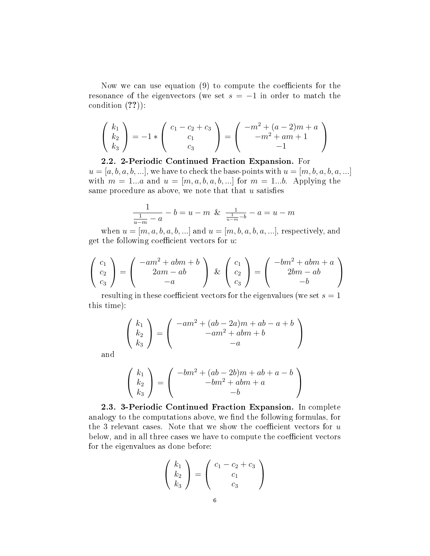Now we can use equation  $(9)$  to compute the coefficients for the resonance of the eigenvectors (we set  $s = -1$  in order to match the condition (??)):

$$
\begin{pmatrix} k_1 \\ k_2 \\ k_3 \end{pmatrix} = -1 * \begin{pmatrix} c_1 - c_2 + c_3 \\ c_1 \\ c_3 \end{pmatrix} = \begin{pmatrix} -m^2 + (a-2)m + a \\ -m^2 + am + 1 \\ -1 \end{pmatrix}
$$

2.2. 2-Periodic Continued Fraction Expansion. For  $u = [a, b, a, b, \ldots]$ , we have to check the base-points with  $u = [m, b, a, b, a, \ldots]$ with  $m = 1...a$  and  $u = [m, a, b, a, b, ...]$  for  $m = 1...b$ . Applying the same procedure as above, we note that that  $u$  satisfies

$$
\frac{1}{\frac{1}{u-m} - a} - b = u - m \& \frac{1}{\frac{1}{u-m} - b} - a = u - m
$$

when  $u = [m, a, b, a, b, ...]$  and  $u = [m, b, a, b, a, ...]$ , respectively, and get the following coefficient vectors for  $u$ :

$$
\begin{pmatrix} c_1 \\ c_2 \\ c_3 \end{pmatrix} = \begin{pmatrix} -am^2 + abm + b \\ 2am - ab \\ -a \end{pmatrix} \& \begin{pmatrix} c_1 \\ c_2 \\ c_3 \end{pmatrix} = \begin{pmatrix} -bm^2 + abm + a \\ 2bm - ab \\ -b \end{pmatrix}
$$

resulting in these coefficient vectors for the eigenvalues (we set  $s = 1$ ) this time):

$$
\begin{pmatrix}\nk_1 \\
k_2 \\
k_3\n\end{pmatrix} = \begin{pmatrix}\n-a m^2 + (ab - 2a)m + ab - a + b \\
-a m^2 + abm + b \\
-a\n\end{pmatrix}
$$

and

$$
\begin{pmatrix} k_1 \\ k_2 \\ k_3 \end{pmatrix} = \begin{pmatrix} -bm^2 + (ab - 2b)m + ab + a - b \\ -bm^2 + abm + a \\ -b \end{pmatrix}
$$

2.3. 3-Periodic Continued Fraction Expansion. In complete analogy to the computations above, we find the following formulas, for the 3 relevant cases. Note that we show the coefficient vectors for  $u$ below, and in all three cases we have to compute the coefficient vectors for the eigenvalues as done before:

$$
\left(\begin{array}{c} k_1\\k_2\\k_3 \end{array}\right) = \left(\begin{array}{c} c_1 - c_2 + c_3\\c_1\\c_3 \end{array}\right)
$$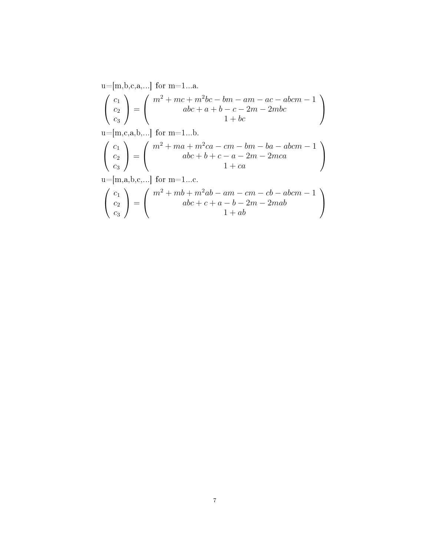$u=[m,b,c,a,...]$  for  $m=1...a$ .  $\sqrt{ }$  $\mathcal{L}$  $c_1$  $\overline{c_2}$  $\overline{c_3}$  $\setminus$  $\Big\} =$  $\sqrt{ }$  $\mathcal{L}$  $m^2 + mc + m^2bc - bm - am - ac - abcm - 1$  $abc + a + b - c - 2m - 2mbc$  $1 + bc$  $\setminus$  $\overline{1}$  $u=[m,c,a,b,...]$  for  $m=1...b$ .  $\sqrt{ }$  $\mathcal{L}$  $\overline{c}_1$  $\overline{c_2}$  $\overline{c_3}$  $\setminus$  $\Big\} =$  $\sqrt{ }$  $\overline{1}$  $m^2 + ma + m^2ca - cm - bm - ba - abcm - 1$  $abc + b + c - a - 2m - 2mca$  $1 + ca$  $\setminus$  $\overline{1}$  $u=[m,a,b,c,...]$  for  $m=1...c$ .  $\sqrt{ }$  $\mathcal{L}$  $c_1$  $\overline{c_2}$  $\overline{c_3}$  $\setminus$  $\Big\} =$  $\sqrt{ }$  $\mathcal{L}$  $m^2 + mb + m^2ab - am - cm - cb - abcm - 1$  $abc + c + a - b - 2m - 2mab$  $1 + ab$  $\setminus$  $\overline{1}$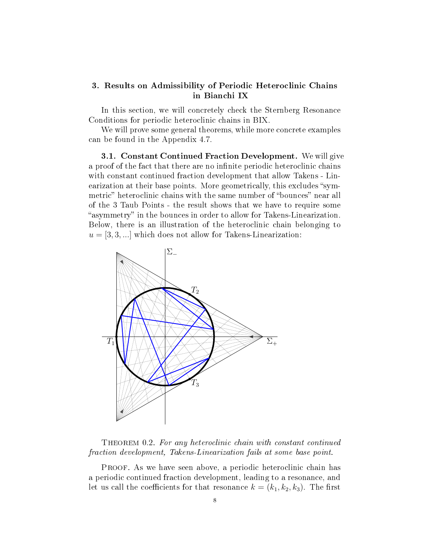### 3. Results on Admissibility of Periodic Heteroclinic Chains in Bianchi IX

In this section, we will concretely check the Sternberg Resonance Conditions for periodic heteroclinic chains in BIX.

We will prove some general theorems, while more concrete examples can be found in the Appendix 4.7.

3.1. Constant Continued Fraction Development. We will give a proof of the fact that there are no infinite periodic heteroclinic chains with constant continued fraction development that allow Takens - Linearization at their base points. More geometrically, this excludes "symmetric" heteroclinic chains with the same number of "bounces" near all of the 3 Taub Points - the result shows that we have to require some "asymmetry" in the bounces in order to allow for Takens-Linearization. Below, there is an illustration of the heteroclinic chain belonging to  $u = [3, 3, \ldots]$  which does not allow for Takens-Linearization:



THEOREM 0.2. For any heteroclinic chain with constant continued fraction development, Takens-Linearization fails at some base point.

PROOF. As we have seen above, a periodic heteroclinic chain has a periodic continued fraction development, leading to a resonance, and let us call the coefficients for that resonance  $k = (k_1, k_2, k_3)$ . The first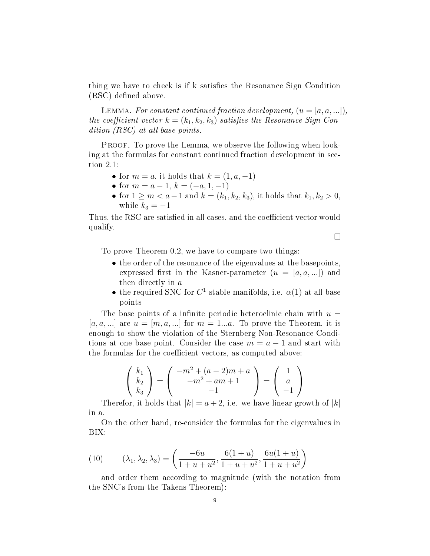thing we have to check is if k satisfies the Resonance Sign Condition (RSC) defined above.

LEMMA. For constant continued fraction development,  $(u = [a, a, ...])$ , the coefficient vector  $k = (k_1, k_2, k_3)$  satisfies the Resonance Sign Condition (RSC) at all base points.

PROOF. To prove the Lemma, we observe the following when looking at the formulas for constant continued fraction development in section 2.1:

- for  $m = a$ , it holds that  $k = (1, a, -1)$
- for  $m = a 1$ ,  $k = (-a, 1, -1)$
- for  $1 \ge m < a-1$  and  $k = (k_1, k_2, k_3)$ , it holds that  $k_1, k_2 > 0$ , while  $k_3 = -1$

Thus, the RSC are satisfied in all cases, and the coefficient vector would qualify.

 $\Box$ 

To prove Theorem 0.2, we have to compare two things:

- the order of the resonance of the eigenvalues at the basepoints, expressed first in the Kasner-parameter  $(u = [a, a, ...])$  and then directly in a
- the required SNC for  $C^1$ -stable-manifolds, i.e.  $\alpha(1)$  at all base points

The base points of a infinite periodic heteroclinic chain with  $u =$ [a, a, ...] are  $u = [m, a, \ldots]$  for  $m = 1...a$ . To prove the Theorem, it is enough to show the violation of the Sternberg Non-Resonance Conditions at one base point. Consider the case  $m = a - 1$  and start with the formulas for the coefficient vectors, as computed above:

$$
\begin{pmatrix} k_1 \\ k_2 \\ k_3 \end{pmatrix} = \begin{pmatrix} -m^2 + (a-2)m + a \\ -m^2 + am + 1 \\ -1 \end{pmatrix} = \begin{pmatrix} 1 \\ a \\ -1 \end{pmatrix}
$$

Therefor, it holds that  $|k| = a + 2$ , i.e. we have linear growth of  $|k|$ in a.

On the other hand, re-consider the formulas for the eigenvalues in BIX:

(10) 
$$
(\lambda_1, \lambda_2, \lambda_3) = \left(\frac{-6u}{1+u+u^2}, \frac{6(1+u)}{1+u+u^2}, \frac{6u(1+u)}{1+u+u^2}\right)
$$

and order them according to magnitude (with the notation from the SNC's from the Takens-Theorem):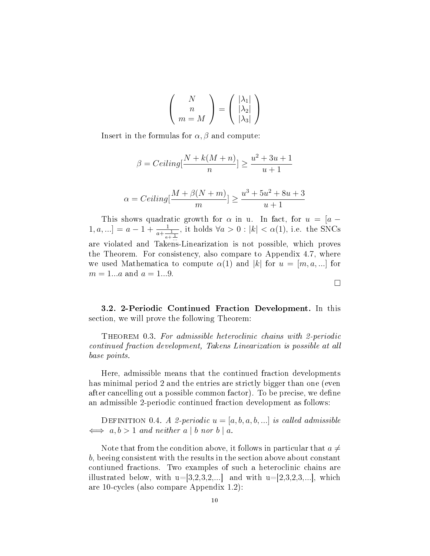$$
\left(\begin{array}{c}N\\n\\m=M\end{array}\right) = \left(\begin{array}{c}|\lambda_1|\\|\lambda_2|\\|\lambda_3|\end{array}\right)
$$

Insert in the formulas for  $\alpha$ ,  $\beta$  and compute:

$$
\beta = Ceiling[\frac{N + k(M+n)}{n}] \ge \frac{u^2 + 3u + 1}{u + 1}
$$

$$
\alpha = Ceiling[\frac{M + \beta(N+m)}{n}] \ge \frac{u^3 + 5u^2 + 8u + 3}{u + 1}
$$

 $u+1$ 

m

This shows quadratic growth for  $\alpha$  in u. In fact, for  $u = [a [1, a, \ldots] = a - 1 + \frac{1}{a + \frac{1}{a + \frac{1}{\ldots}}}$ , it holds  $\forall a > 0 : |k| < \alpha(1)$ , i.e. the SNCs are violated and Takens-Linearization is not possible, which proves the Theorem. For consistency, also compare to Appendix 4.7, where we used Mathematica to compute  $\alpha(1)$  and |k| for  $u = [m, a, ...]$  for  $m = 1...a$  and  $a = 1...9$ .

3.2. 2-Periodic Continued Fraction Development. In this section, we will prove the following Theorem:

Theorem 0.3. For admissible heteroclinic chains with 2-periodic continued fraction development, Takens Linearization is possible at all base points.

Here, admissible means that the continued fraction developments has minimal period 2 and the entries are strictly bigger than one (even after cancelling out a possible common factor). To be precise, we define an admissible 2-periodic continued fraction development as follows:

DEFINITION 0.4. A 2-periodic  $u = [a, b, a, b, \ldots]$  is called admissible  $\iff a, b > 1$  and neither a | b nor b | a.

Note that from the condition above, it follows in particular that  $a \neq$ b, beeing consistent with the results in the section above about constant contiuned fractions. Two examples of such a heteroclinic chains are illustrated below, with  $u=[3,2,3,2,...]$  and with  $u=[2,3,2,3,...]$ , which are 10-cycles (also compare Appendix 1.2):

```
\Box
```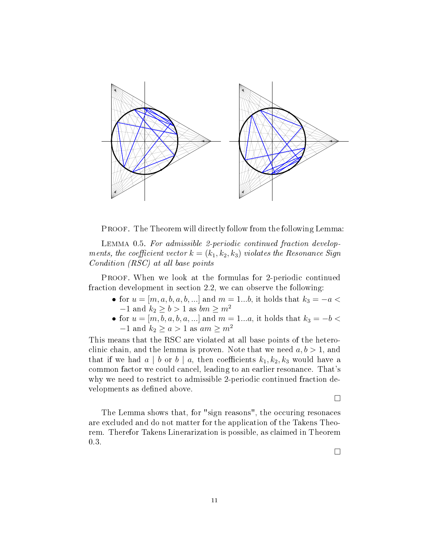

PROOF. The Theorem will directly follow from the following Lemma:

Lemma 0.5. For admissible 2-periodic continued fraction developments, the coefficient vector  $k = (k_1, k_2, k_3)$  violates the Resonance Sign Condition (RSC) at all base points

PROOF. When we look at the formulas for 2-periodic continued fraction development in section 2.2, we can observe the following:

- for  $u = [m, a, b, a, b, \ldots]$  and  $m = 1...b$ , it holds that  $k_3 = -a <$  $-1$  and  $k_2 \ge b > 1$  as  $bm \ge m^2$
- for  $u = [m, b, a, b, a, ...]$  and  $m = 1...a$ , it holds that  $k_3 = -b <$  $-1$  and  $k_2 \ge a > 1$  as  $am \ge m^2$

This means that the RSC are violated at all base points of the heteroclinic chain, and the lemma is proven. Note that we need  $a, b > 1$ , and that if we had  $a \mid b$  or  $b \mid a$ , then coefficients  $k_1, k_2, k_3$  would have a common factor we could cancel, leading to an earlier resonance. That's why we need to restrict to admissible 2-periodic continued fraction developments as defined above.

 $\Box$ 

The Lemma shows that, for "sign reasons", the occuring resonaces are excluded and do not matter for the application of the Takens Theorem. Therefor Takens Linerarization is possible, as claimed in Theorem 0.3.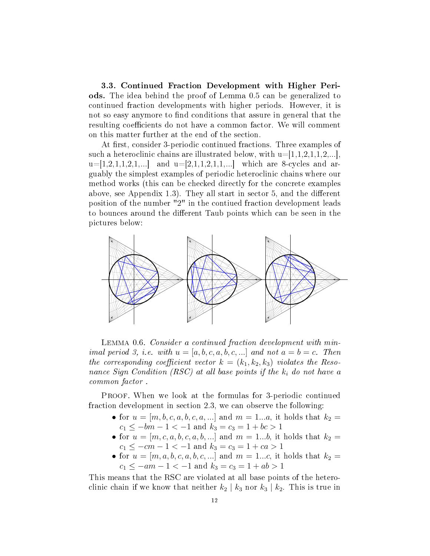3.3. Continued Fraction Development with Higher Periods. The idea behind the proof of Lemma 0.5 can be generalized to continued fraction developments with higher periods. However, it is not so easy anymore to find conditions that assure in general that the resulting coefficients do not have a common factor. We will comment on this matter further at the end of the section.

At first, consider 3-periodic continued fractions. Three examples of such a heteroclinic chains are illustrated below, with  $u=[1,1,2,1,1,2,...]$ ,  $u=[1,2,1,1,2,1,...]$  and  $u=[2,1,1,2,1,1,...]$  which are 8-cycles and arguably the simplest examples of periodic heteroclinic chains where our method works (this can be checked directly for the concrete examples above, see Appendix 1.3). They all start in sector 5, and the different position of the number "2" in the contiued fraction development leads to bounces around the different Taub points which can be seen in the pictures below:



LEMMA 0.6. Consider a continued fraction development with minimal period 3, i.e. with  $u = [a, b, c, a, b, c, \ldots]$  and not  $a = b = c$ . Then the corresponding coefficient vector  $k = (k_1, k_2, k_3)$  violates the Resonance Sign Condition (RSC) at all base points if the  $k_i$  do not have a common factor .

PROOF. When we look at the formulas for 3-periodic continued fraction development in section 2.3, we can observe the following:

- for  $u = [m, b, c, a, b, c, a, ...]$  and  $m = 1...a$ , it holds that  $k_2 =$  $c_1 \le -bm - 1 < -1$  and  $k_3 = c_3 = 1 + bc > 1$
- for  $u = [m, c, a, b, c, a, b, ...]$  and  $m = 1...b$ , it holds that  $k_2 =$  $c_1 \le -cm - 1 < -1$  and  $k_3 = c_3 = 1 + ca > 1$
- for  $u = [m, a, b, c, a, b, c, ...]$  and  $m = 1...c$ , it holds that  $k_2 =$  $c_1 \le -am - 1 < -1$  and  $k_3 = c_3 = 1 + ab > 1$

This means that the RSC are violated at all base points of the heteroclinic chain if we know that neither  $k_2 | k_3$  nor  $k_3 | k_2$ . This is true in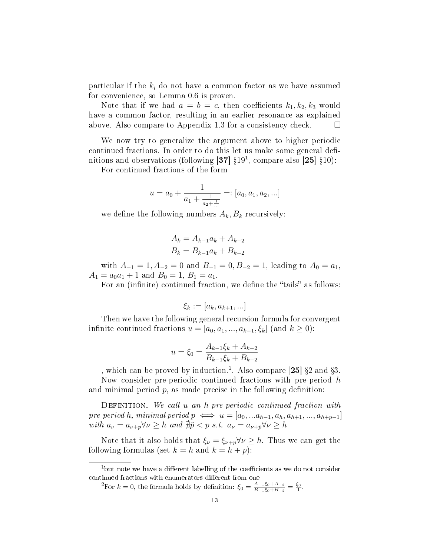particular if the  $k_i$  do not have a common factor as we have assumed for convenience, so Lemma 0.6 is proven.

Note that if we had  $a = b = c$ , then coefficients  $k_1, k_2, k_3$  would have a common factor, resulting in an earlier resonance as explained above. Also compare to Appendix 1.3 for a consistency check.  $\Box$ 

We now try to generalize the argument above to higher periodic continued fractions. In order to do this let us make some general definitions and observations (following [37]  $\S 19<sup>1</sup>$ , compare also [25]  $\S 10$ ):

For continued fractions of the form

$$
u = a_0 + \frac{1}{a_1 + \frac{1}{a_2 + \frac{1}{\ldots}}} =: [a_0, a_1, a_2, \ldots]
$$

we define the following numbers  $A_k, B_k$  recursively:

$$
A_k = A_{k-1}a_k + A_{k-2}
$$
  

$$
B_k = B_{k-1}a_k + B_{k-2}
$$

with  $A_{-1} = 1, A_{-2} = 0$  and  $B_{-1} = 0, B_{-2} = 1$ , leading to  $A_0 = a_1$ ,  $A_1 = a_0 a_1 + 1$  and  $B_0 = 1$ ,  $B_1 = a_1$ .

For an (infinite) continued fraction, we define the "tails" as follows:

$$
\xi_k := [a_k, a_{k+1}, \ldots]
$$

Then we have the following general recursion formula for convergent infinite continued fractions  $u = [a_0, a_1, ..., a_{k-1}, \xi_k]$  (and  $k \ge 0$ ):

$$
u = \xi_0 = \frac{A_{k-1}\xi_k + A_{k-2}}{B_{k-1}\xi_k + B_{k-2}}
$$

, which can be proved by induction.<sup>2</sup>. Also compare [25]  $\S 2$  and  $\S 3$ .

Now consider pre-periodic continued fractions with pre-period  $h$ and minimal period  $p$ , as made precise in the following definition:

DEFINITION. We call u an h-pre-periodic continued fraction with pre-period h, minimal period  $p \iff u = [a_0, ... a_{h-1}, \overline{a_h, a_{h+1}, ..., a_{h+p-1}}]$ with  $a_{\nu} = a_{\nu+p} \forall \nu \geq h$  and  $\sharp \tilde{p} < p$  s.t.  $a_{\nu} = a_{\nu+\tilde{p}} \forall \nu \geq h$ 

Note that it also holds that  $\xi_{\nu} = \xi_{\nu+p} \forall \nu \geq h$ . Thus we can get the following formulas (set  $k = h$  and  $k = h + p$ ):

 $1$ but note we have a different labelling of the coefficients as we do not consider continued fractions with enumerators different from one

<sup>&</sup>lt;sup>2</sup>For  $k = 0$ , the formula holds by definition:  $\xi_0 = \frac{A_{-1}\xi_0 + A_{-2}}{B_{-1}\xi_0 + B_{-2}}$  $\frac{A_{-1}\xi_0 + A_{-2}}{B_{-1}\xi_0 + B_{-2}} = \frac{\xi_0}{1}.$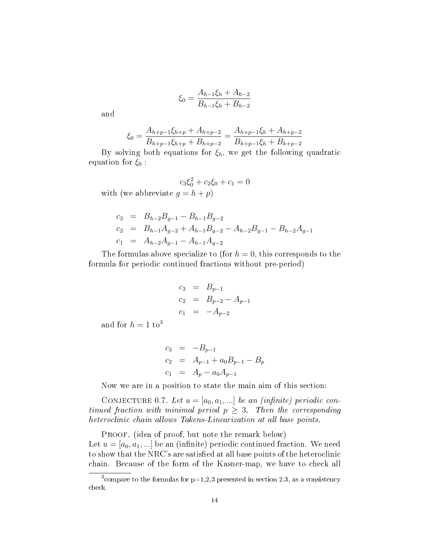$$
\xi_0 = \frac{A_{h-1}\xi_h + A_{h-2}}{B_{h-1}\xi_h + B_{h-2}}
$$

and

$$
\xi_0 = \frac{A_{h+p-1}\xi_{h+p} + A_{h+p-2}}{B_{h+p-1}\xi_{h+p} + B_{h+p-2}} = \frac{A_{h+p-1}\xi_h + A_{h+p-2}}{B_{h+p-1}\xi_h + B_{h+p-2}}
$$

By solving both equations for  $\xi_h$ , we get the following quadratic equation for  $\xi_0$ :

$$
c_3\xi_0^2 + c_2\xi_0 + c_1 = 0
$$
 with (we abbreviate  $g = h + p$ )

$$
c_3 = B_{h-2}B_{g-1} - B_{h-1}B_{g-2}
$$
  
\n
$$
c_2 = B_{h-1}A_{g-2} + A_{h-1}B_{g-2} - A_{h-2}B_{g-1} - B_{h-2}A_{g-1}
$$
  
\n
$$
c_1 = A_{h-2}A_{g-1} - A_{h-1}A_{g-2}
$$

The formulas above specialize to (for  $h = 0$ , this corresponds to the formula for periodic continued fractions without pre-period)

$$
c_3 = B_{p-1}
$$
  
\n
$$
c_2 = B_{p-2} - A_{p-1}
$$
  
\n
$$
c_1 = -A_{p-2}
$$

and for  $h = 1$  to<sup>3</sup>

$$
c_3 = -B_{p-1}
$$
  
\n
$$
c_2 = A_{p-1} + a_0 B_{p-1} - B_p
$$
  
\n
$$
c_1 = A_p - a_0 A_{p-1}
$$

Now we are in a position to state the main aim of this section:

CONJECTURE 0.7. Let  $u = [a_0, a_1, \ldots]$  be an (infinite) periodic continued fraction with minimal period  $p \geq 3$ . Then the corresponding heteroclinic chain allows Takens-Linearization at all base points.

PROOF. (idea of proof, but note the remark below) Let  $u = [a_0, a_1, \ldots]$  be an (infinite) periodic continued fraction. We need to show that the NRC's are satised at all base points of the heteroclinic chain. Because of the form of the Kasner-map, we have to check all

<sup>&</sup>lt;sup>3</sup> compare to the formulas for  $p=1,2,3$  presented in section 2.3, as a consistency check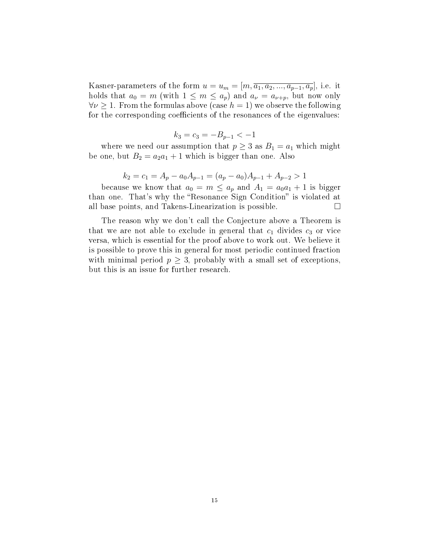Kasner-parameters of the form  $u = u_m = [m, \overline{a_1, a_2, ..., a_{p-1}, a_p}]$ , i.e. it holds that  $a_0 = m$  (with  $1 \leq m \leq a_p$ ) and  $a_{\nu} = a_{\nu+p}$ , but now only  $\forall \nu \geq 1$ . From the formulas above (case  $h = 1$ ) we observe the following for the corresponding coefficients of the resonances of the eigenvalues:

$$
k_3 = c_3 = -B_{p-1} < -1
$$

where we need our assumption that  $p \geq 3$  as  $B_1 = a_1$  which might be one, but  $B_2 = a_2 a_1 + 1$  which is bigger than one. Also

$$
k_2 = c_1 = A_p - a_0 A_{p-1} = (a_p - a_0)A_{p-1} + A_{p-2} > 1
$$

because we know that  $a_0 = m \le a_p$  and  $A_1 = a_0 a_1 + 1$  is bigger than one. That's why the "Resonance Sign Condition" is violated at all base points, and Takens-Linearization is possible.

The reason why we don't call the Conjecture above a Theorem is that we are not able to exclude in general that  $c_1$  divides  $c_3$  or vice versa, which is essential for the proof above to work out. We believe it is possible to prove this in general for most periodic continued fraction with minimal period  $p \geq 3$ , probably with a small set of exceptions, but this is an issue for further research.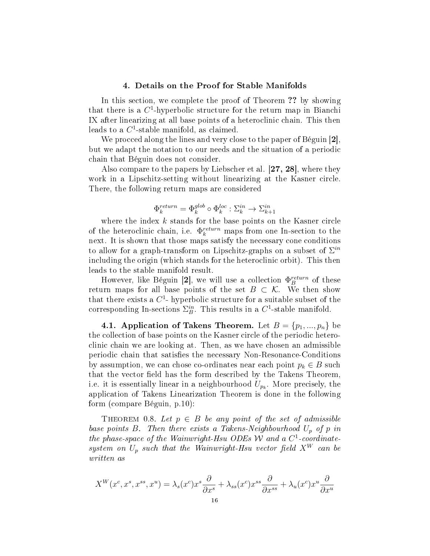#### 4. Details on the Proof for Stable Manifolds

In this section, we complete the proof of Theorem ?? by showing that there is a  $C^1$ -hyperbolic structure for the return map in Bianchi IX after linearizing at all base points of a heteroclinic chain. This then leads to a  $C^1$ -stable manifold, as claimed.

We procced along the lines and very close to the paper of Béguin [2], but we adapt the notation to our needs and the situation of a periodic chain that Béguin does not consider.

Also compare to the papers by Liebscher et al. [27, 28], where they work in a Lipschitz-setting without linearizing at the Kasner circle. There, the following return maps are considered

$$
\Phi_k^{return} = \Phi_k^{glob} \circ \Phi_k^{loc} : \Sigma_k^{in} \rightarrow \Sigma_{k+1}^{in}
$$

where the index  $k$  stands for the base points on the Kasner circle of the heteroclinic chain, i.e.  $\Phi_k^{return}$  maps from one In-section to the next. It is shown that those maps satisfy the necessary cone conditions to allow for a graph-transform on Lipschitz-graphs on a subset of  $\Sigma^{in}$ including the origin (which stands for the heteroclinic orbit). This then leads to the stable manifold result.

However, like Béguin [2], we will use a collection  $\Phi_B^{return}$  of these return maps for all base points of the set  $B \subset \mathcal{K}$ . We then show that there exists a  $C^1$ - hyperbolic structure for a suitable subset of the corresponding In-sections  $\Sigma_B^{in}$ . This results in a C<sup>1</sup>-stable manifold.

4.1. Application of Takens Theorem. Let  $B = \{p_1, ..., p_n\}$  be the collection of base points on the Kasner circle of the periodic heteroclinic chain we are looking at. Then, as we have chosen an admissible periodic chain that satisfies the necessary Non-Resonance-Conditions by assumption, we can chose co-ordinates near each point  $p_k \in B$  such that the vector field has the form described by the Takens Theorem, i.e. it is essentially linear in a neighbourhood  $U_{p_k}$ . More precisely, the application of Takens Linearization Theorem is done in the following form (compare Béguin, p.10):

THEOREM 0.8. Let  $p \in B$  be any point of the set of admissible base points B. Then there exists a Takens-Neighbourhood  $U_p$  of p in the phase-space of the Wainwright-Hsu ODEs W and a  $C^1$ -coordinatesystem on  $U_p$  such that the Wainwright-Hsu vector field  $X^W$  can be written as

$$
X^{W}(x^{c}, x^{s}, x^{ss}, x^{u}) = \lambda_{s}(x^{c})x^{s} \frac{\partial}{\partial x^{s}} + \lambda_{ss}(x^{c})x^{ss} \frac{\partial}{\partial x^{ss}} + \lambda_{u}(x^{c})x^{u} \frac{\partial}{\partial x^{u}}
$$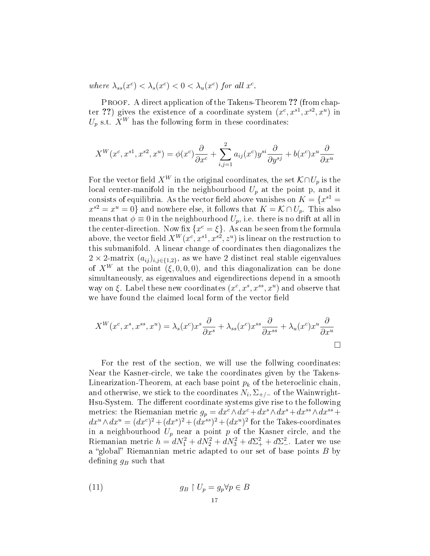where  $\lambda_{ss}(x^c) < \lambda_s(x^c) < 0 < \lambda_u(x^c)$  for all  $x^c$ .

PROOF. A direct application of the Takens-Theorem ?? (from chapter ??) gives the existence of a coordinate system  $(x^c, x^{s1}, x^{s2}, x^u)$  in  $U_p$  s.t.  $X^W$  has the following form in these coordinates:

$$
X^{W}(x^c, x^{s1}, x^{s2}, x^u) = \phi(x^c)\frac{\partial}{\partial x^c} + \sum_{i,j=1}^2 a_{ij}(x^c) y^{si} \frac{\partial}{\partial y^{sj}} + b(x^c) x^u \frac{\partial}{\partial x^u}
$$

For the vector field  $X^W$  in the original coordinates, the set  $\mathcal{K} \cap U_p$  is the local center-manifold in the neighbourhood  $U_p$  at the point p, and it consists of equilibria. As the vector field above vanishes on  $K = \{x^{s1} =$  $x^{s2} = x^u = 0$ } and nowhere else, it follows that  $K = \mathcal{K} \cap U_p$ . This also means that  $\phi \equiv 0$  in the neighbourhood  $U_p$ , i.e. there is no drift at all in the center-direction. Now fix  $\{x^c = \xi\}$ . As can be seen from the formula above, the vector field  $X^W(x^c, x^{s1}, x^{s2}, z^u)$  is linear on the restruction to this submanifold. A linear change of coordinates then diagonalizes the  $2 \times 2$ -matrix  $(a_{ij})_{i,j\in\{1,2\}}$ , as we have 2 distinct real stable eigenvalues of  $X^W$  at the point  $(\xi, 0, 0, 0)$ , and this diagonalization can be done simultaneously, as eigenvalues and eigendirections depend in a smooth way on  $\xi$ . Label these new coordinates  $(x^c, x^s, x^{ss}, x^u)$  and observe that we have found the claimed local form of the vector field

$$
X^{W}(x^{c}, x^{s}, x^{ss}, x^{u}) = \lambda_{s}(x^{c})x^{s} \frac{\partial}{\partial x^{s}} + \lambda_{ss}(x^{c})x^{ss} \frac{\partial}{\partial x^{ss}} + \lambda_{u}(x^{c})x^{u} \frac{\partial}{\partial x^{u}}
$$

For the rest of the section, we will use the follwing coordinates: Near the Kasner-circle, we take the coordinates given by the Takens-Linearization-Theorem, at each base point  $p_k$  of the heteroclinic chain, and otherwise, we stick to the coordinates  $N_i$ ,  $\Sigma_{+/-}$  of the Wainwright-Hsu-System. The different coordinate systems give rise to the following metrics: the Riemanian metric  $g_p = dx^c \wedge dx^c + dx^s \wedge dx^s + dx^{ss} \wedge dx^{ss} + dy^s$  $dx^u \wedge dx^u = (dx^c)^2 + (dx^s)^2 + (dx^{ss})^2 + (dx^u)^2$  for the Takes-coordinates in a neighbourhood  $U_p$  near a point p of the Kasner circle, and the Riemanian metric  $h = dN_1^2 + dN_2^2 + dN_3^2 + d\Sigma_+^2 + d\Sigma_-^2$ . Later we use a "global" Riemannian metric adapted to our set of base points  $B$  by defining  $g_B$  such that

(11) 
$$
g_B \upharpoonright U_p = g_p \forall p \in B
$$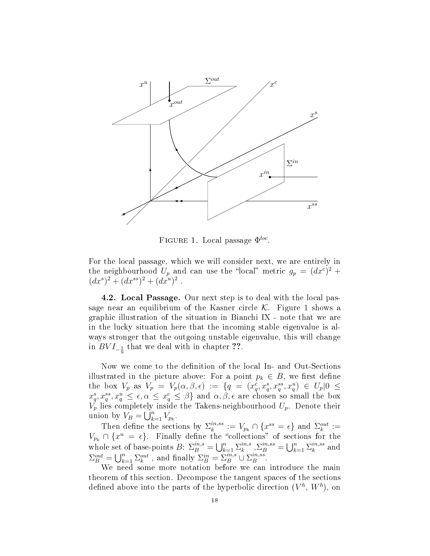

FIGURE 1. Local passage  $\Phi^{loc}$ .

For the local passage, which we will consider next, we are entirely in the neighbourhood  $U_p$  and can use the "local" metric  $g_p = (dx^c)^2 +$  $(dx^s)^2 + (dx^{ss})^2 + (dx^u)^2$ .

4.2. Local Passage. Our next step is to deal with the local passage near an equilibrium of the Kasner circle  $K$ . Figure 1 shows a graphic illustration of the situation in Bianchi IX - note that we are in the lucky situation here that the incoming stable eigenvalue is always stronger that the outgoing unstable eigenvalue, this will change in  $BVI_{-\frac{1}{9}}$  that we deal with in chapter ??.

Now we come to the definition of the local In- and Out-Sections illustrated in the picture above: For a point  $p_k \in B$ , we first define the box  $V_p$  as  $V_p = V_p(\alpha, \beta, \epsilon) := \{q = (x_q^c, x_q^s, x_q^{ss}, x_q^{u}) \in U_p | 0 \le$  $x_q^s, x_q^{ss}, x_q^u \leq \epsilon, \alpha \leq x_q^c \leq \beta$  and  $\alpha, \beta, \epsilon$  are chosen so small the box  $V_p$  lies completely inside the Takens-neighbourhood  $U_p$ . Denote their union by  $V_B = \bigcup_{k=1}^n V_{p_k}$ .

Then define the sections by  $\Sigma_k^{in,ss}$  $\mathcal{E}_k^{in,ss} := V_{p_k} \cap \{x^{ss} = \epsilon\}$  and  $\Sigma_k^{out} :=$  $V_{p_k} \cap \{x^u = \epsilon\}.$  Finally define the "collections" of sections for the whole set of base-points  $B: \sum_{B}^{in,s} = \bigcup_{k=1}^{n} \sum_{k=1}^{in,s}$  $\sum_{k}^{in,s} \sum_{B}^{in,ss} = \bigcup_{k=1}^{n} \sum_{k}^{in,ss}$  $_k^{in,ss}$  and  $\Sigma_B^{out} = \bigcup_{k=1}^n \Sigma_k^{out}$ , and finally  $\Sigma_B^{in} = \Sigma_B^{in,s} \cup \Sigma_B^{in,ss}$  $_{B}^{in,ss}.$ 

We need some more notation before we can introduce the main theorem of this section. Decompose the tangent spaces of the sections defined above into the parts of the hyperbolic direction  $(V^h,\,W^h),$  on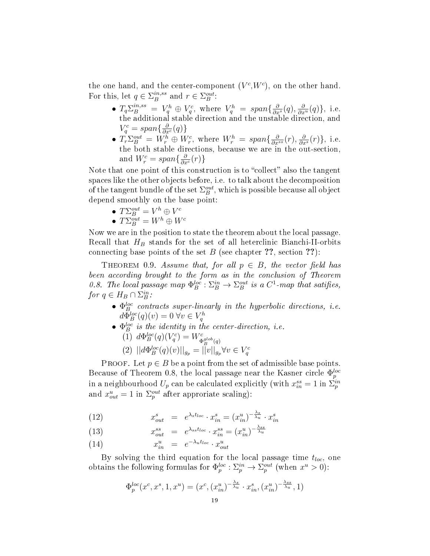the one hand, and the center-component  $(V^c, W^c)$ , on the other hand. For this, let  $q \in \sum_{B}^{in,ss}$  $_B^{in,ss}$  and  $r \in \Sigma_B^{out}$ :

- $T_q \Sigma_B^{in,ss} = V_q^h \oplus V_q^c$ , where  $V_q^h = span\{\frac{\partial}{\partial x^s}(q), \frac{\partial}{\partial x^u}(q)\},\$ i.e. the additional stable direction and the unstable direction, and  $V_q^c = span\{\frac{\partial}{\partial x^c}(q)\}\$
- $T_r \Sigma_B^{out} = W_r^h \oplus W_r^c$ , where  $W_r^h = span\{\frac{\partial}{\partial x^{ss}}(r), \frac{\partial}{\partial x^s}(r)\}$ , i.e. the both stable directions, because we are in the out-section, and  $W_r^c = span\{\frac{\partial}{\partial x^c}(r)\}\$

Note that one point of this construction is to "collect" also the tangent spaces like the other objects before, i.e. to talk about the decomposition of the tangent bundle of the set  $\Sigma_B^{out},$  which is possible because all object depend smoothly on the base point:

- $T\Sigma_B^{out}=V^h\oplus V^c$
- $T\Sigma_B^{out}=W^h\oplus W^c$

Now we are in the position to state the theorem about the local passage. Recall that  $H_B$  stands for the set of all heterclinic Bianchi-II-orbits connecting base points of the set  $B$  (see chapter ??, section ??):

THEOREM 0.9. Assume that, for all  $p \in B$ , the vector field has been according brought to the form as in the conclusion of Theorem 0.8. The local passage map  $\Phi_B^{loc} : \Sigma_B^{in} \to \Sigma_B^{out}$  is a  $C^1$ -map that satifies, for  $q \in H_B \cap \Sigma_B^{in}$ :

- $\Phi_B^{loc}$  contracts super-linearly in the hyperbolic directions, i.e.  $d\Phi_B^{loc}(q)(v) = 0 \,\forall v \in V_q^h$
- $\Phi_B^{loc}$  is the identity in the center-direction, i.e.
	- (1)  $d\Phi_B^{loc}(q)(V_q^c) = W^c_{\Phi_B^{glob}(q)}$
	- (2)  $||d\Phi_B^{loc}(q)(v)||_{g_p} = ||v||_{g_p} \forall v \in V_q^c$

PROOF. Let  $p \in B$  be a point from the set of admissible base points. Because of Theorem 0.8, the local passage near the Kasner circle  $\Phi_p^{loc}$ in a neighbourhood  $U_p$  can be calculated explicitly (with  $x_{in}^{ss} = 1$  in  $\Sigma_p^{in}$ and  $x_{out}^u = 1$  in  $\Sigma_p^{out}$  after approriate scaling):

(12) 
$$
x_{out}^s = e^{\lambda_s t_{loc}} \cdot x_{in}^s = (x_{in}^u)^{-\frac{\lambda_s}{\lambda_u}} \cdot x_{in}^s
$$

(13) 
$$
x_{out}^{ss} = e^{\lambda_{ss}t_{loc}} \cdot x_{in}^{ss} = (x_{in}^{u})^{-\frac{\lambda_{ss}}{\lambda_{u}}}
$$

$$
(14) \t x_{in}^u = e^{-\lambda_u t_{loc}} \cdot x_{out}^u
$$

By solving the third equation for the local passage time  $t_{loc}$ , one obtains the following formulas for  $\Phi_p^{loc} : \Sigma_p^{in} \to \Sigma_p^{out}$  (when  $x^u > 0$ ):

$$
\Phi_p^{loc}(x^c, x^s, 1, x^u) = (x^c, (x_{in}^u)^{-\frac{\lambda_s}{\lambda_u}} \cdot x_{in}^s, (x_{in}^u)^{-\frac{\lambda_{ss}}{\lambda_u}}, 1)
$$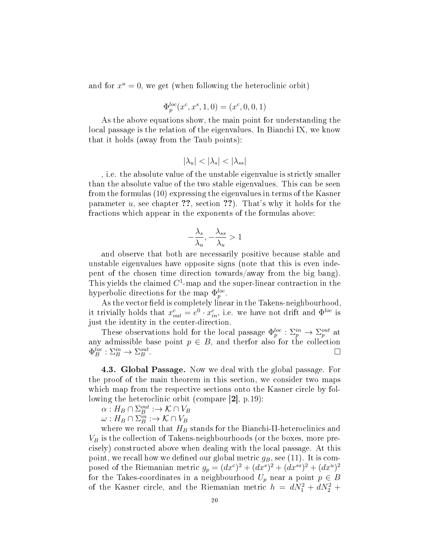and for  $x^u = 0$ , we get (when following the heteroclinic orbit)

$$
\Phi_{p}^{loc}(x^c,x^s,1,0)=(x^c,0,0,1)
$$

As the above equations show, the main point for understanding the local passage is the relation of the eigenvalues. In Bianchi IX, we know that it holds (away from the Taub points):

$$
|\lambda_u| < |\lambda_s| < |\lambda_{ss}|
$$

, i.e. the absolute value of the unstable eigenvalue is strictly smaller than the absolute value of the two stable eigenvalues. This can be seen from the formulas (10) expressing the eigenvalues in terms of the Kasner parameter  $u$ , see chapter ??, section ??). That's why it holds for the fractions which appear in the exponents of the formulas above:

$$
-\frac{\lambda_s}{\lambda_u}, -\frac{\lambda_{ss}}{\lambda_u} > 1
$$

and observe that both are necessarily positive because stable and unstable eigenvalues have opposite signs (note that this is even indepent of the chosen time direction towards/away from the big bang). This yields the claimed  $C^1$ -map and the super-linear contraction in the hyperbolic directions for the map  $\Phi_p^{loc}$ .

As the vector field is completely linear in the Takens-neighbourhood, it trivially holds that  $x_{out}^c = e^0 \cdot x_{in}^c$ , i.e. we have not drift and  $\Phi^{loc}$  is just the identity in the center-direction.

These observations hold for the local passage  $\Phi_p^{loc} : \Sigma_p^{in} \to \Sigma_p^{out}$  at any admissible base point  $p \in B$ , and therfor also for the collection  $\Phi_B^{loc}: \Sigma_B^{in} \to \Sigma_B^{out}.$ 

4.3. Global Passage. Now we deal with the global passage. For the proof of the main theorem in this section, we consider two maps which map from the respective sections onto the Kasner circle by following the heteroclinic orbit (compare [2], p.19):

$$
\alpha: H_B \cap \Sigma_B^{out} : \to \mathcal{K} \cap V_B
$$

 $\omega: H_B \cap \Sigma_B^{in} : \rightarrow \mathcal{K} \cap V_B$ 

where we recall that  $H_B$  stands for the Bianchi-II-heteroclinics and  $V_B$  is the collection of Takens-neighbourhoods (or the boxes, more precisely) constructed above when dealing with the local passage. At this point, we recall how we defined our global metric  $g_B$ , see (11). It is composed of the Riemanian metric  $g_p = (dx^c)^2 + (dx^s)^2 + (dx^{ss})^2 + (dx^u)^2$ for the Takes-coordinates in a neighbourhood  $U_p$  near a point  $p \in B$ of the Kasner circle, and the Riemanian metric  $h = dN_1^2 + dN_2^2 +$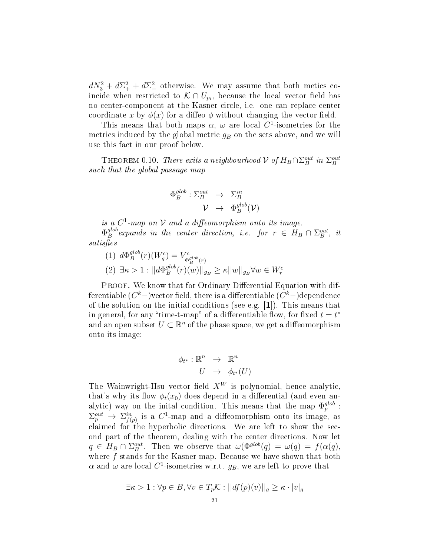$dN_3^2 + d\Sigma_+^2 + d\Sigma_-^2$  otherwise. We may assume that both metics coincide when restricted to  $\mathcal{K} \cap U_{p_i}$ , because the local vector field has no center-component at the Kasner circle, i.e. one can replace center coordinate x by  $\phi(x)$  for a diffeo  $\phi$  without changing the vector field.

This means that both maps  $\alpha$ ,  $\omega$  are local C<sup>1</sup>-isometries for the metrics induced by the global metric  $g_B$  on the sets above, and we will use this fact in our proof below.

THEOREM 0.10. There exits a neighbourhood  $\mathcal V$  of  $H_B \cap \Sigma_B^{out}$  in  $\Sigma_B^{out}$ such that the global passage map

$$
\begin{array}{ccc}\n\Phi_B^{glob} : \Sigma_B^{out} & \to & \Sigma_B^{in} \\
 & \mathcal{V} & \to & \Phi_B^{glob}(\mathcal{V})\n\end{array}
$$

is a  $C^1$ -map on  $\mathcal V$  and a diffeomorphism onto its image.

 $\Phi_B^{glob}$  $B^{lob}_B$  expands in the center direction, i.e. for  $r \in H_B \cap \Sigma_B^{out}$ , it  $satisfies$ 

 $(1)$   $d\Phi_B^{glob}$  $\delta_B^{glob}(r)(W^c_q) = V^c_{\Phi}$  $\Phi_B^{glob}(r)$  $(2) \exists \kappa > 1 : || d \Phi_B^{glob}$  $\mathbb{E}_{B}^{glob}(r)(w) \vert_{g_B} \geq \kappa ||w||_{g_B} \forall w \in W_r^c$ 

PROOF. We know that for Ordinary Differential Equation with differentiable ( $C^k-$ )vector field, there is a differentiable ( $C^k-$ )dependence of the solution on the initial conditions (see e.g. [1]). This means that in general, for any "time-t-map" of a differentiable flow, for fixed  $t = t^*$ and an open subset  $U \subset \mathbb{R}^n$  of the phase space, we get a diffeomorphism onto its image:

$$
\begin{array}{rcl} \phi_{t^*}: \mathbb{R}^n & \to & \mathbb{R}^n \\ U & \to & \phi_{t^*}(U) \end{array}
$$

The Wainwright-Hsu vector field  $X^W$  is polynomial, hence analytic, that's why its flow  $\phi_t(x_0)$  does depend in a differential (and even analytic) way on the initial condition. This means that the map  $\Phi_p^{glob}$ :  $\Sigma_p^{out} \to \Sigma_{f(p)}^{in}$  is a  $C^1$ -map and a diffeomorphism onto its image, as claimed for the hyperbolic directions. We are left to show the second part of the theorem, dealing with the center directions. Now let  $q \in H_B \cap \Sigma_B^{out}$ . Then we observe that  $\omega(\Phi^{glob}(q) = \omega(q) = f(\alpha(q)),$ where  $f$  stands for the Kasner map. Because we have shown that both  $\alpha$  and  $\omega$  are local  $C^1$ -isometries w.r.t.  $g_B,$  we are left to prove that

$$
\exists \kappa > 1 : \forall p \in B, \forall v \in T_p \mathcal{K} : ||df(p)(v)||_g \ge \kappa \cdot |v|_g
$$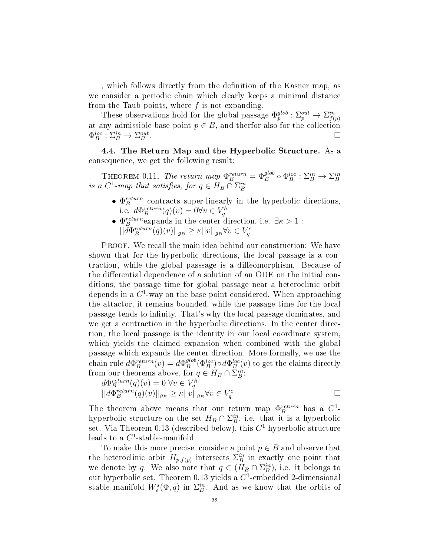, which follows directly from the denition of the Kasner map, as we consider a periodic chain which clearly keeps a minimal distance from the Taub points, where  $f$  is not expanding.

These observations hold for the global passage  $\Phi_p^{glob} : \Sigma_p^{out} \to \Sigma_{f(p)}^{in}$ at any admissible base point  $p \in B$ , and therfor also for the collection  $\Phi_B^{loc}: \Sigma_B^{in} \to \Sigma_B^{out}$  $\Box$ <br>B .

4.4. The Return Map and the Hyperbolic Structure. As a consequence, we get the following result:

THEOREM 0.11. The return map  $\Phi_B^{return} = \Phi_B^{glob} \circ \Phi_B^{loc} : \Sigma_B^{in} \to \Sigma_B^{in}$ <br>is a  $C^1$ -map that satisfies, for  $q \in H_B \cap \Sigma_B^{in}$ 

- $\bullet$   $\Phi_B^{return}$  contracts super-linearly in the hyperbolic directions, i.e.  $d\Phi_B^{return}(q)(v) = 0 \forall v \in V_q^h$
- $\Phi_B^{return}$  expands in the center direction, i.e.  $\exists \kappa > 1$ :  $||d\Phi_B^{return}(q)(v)||_{g_B} \geq \kappa ||v||_{g_B} \forall v \in V_q^c$

PROOF. We recall the main idea behind our construction: We have shown that for the hyperbolic directions, the local passage is a contraction, while the global passsage is a diffeomorphism. Because of the differential dependence of a solution of an ODE on the initial conditions, the passage time for global passage near a heteroclinic orbit depends in a  $C^1$ -way on the base point considered. When approaching the attactor, it remains bounded, while the passage time for the local passage tends to infinity. That's why the local passage dominates, and we get a contraction in the hyperbolic directions. In the center direction, the local passage is the identity in our local coordinate system, which yields the claimed expansion when combined with the global passage which expands the center direction. More formally, we use the chain rule  $d\Phi_B^{return}(v) = d\Phi_B^{glob}$  $B^{glob}_B(\Phi_B^{loc})\!\circ\! d\Phi_B^{loc}(v)$  to get the claims directly from our theorems above, for  $q \in H_B \cap \Sigma_B^{in}$ :

$$
d\Phi_B^{return}(q)(v) = 0 \,\forall v \in V_q^h
$$
  
\n
$$
||d\Phi_B^{return}(q)(v)||_{g_B} \ge \kappa ||v||_{g_B} \forall v \in V_q^c
$$

The theorem above means that our return map  $\Phi_B^{return}$  has a  $C^1$ hyperbolic structure on the set  $H_B \cap \Sigma_B^{in}$ , i.e. that it is a hyperbolic set. Via Theorem 0.13 (described below), this  $C^1$ -hyperbolic structure leads to a  $C^1$ -stable-manifold.

To make this more precise, consider a point  $p \in B$  and observe that the heteroclinic orbit  $H_{p,f(p)}$  intersects  $\Sigma_B^{in}$  in exactly one point that we denote by q. We also note that  $q \in (H_B \cap \Sigma_B^{in})$ , i.e. it belongs to our hyperbolic set. Theorem 0.13 yields a  $C^1$ -embedded 2-dimensional stable manifold  $W^s_{\epsilon}(\Phi, q)$  in  $\Sigma^{in}_B$ . And as we know that the orbits of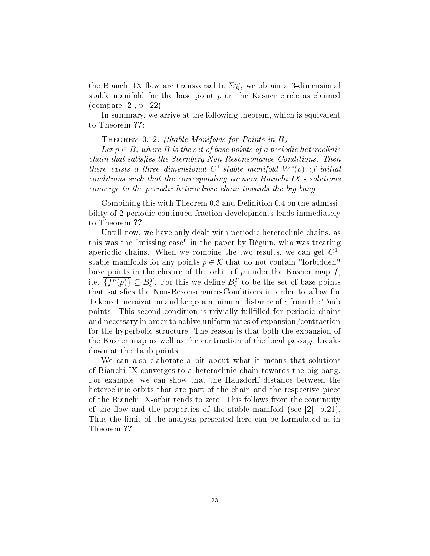the Bianchi IX flow are transversal to  $\Sigma_B^{in}$ , we obtain a 3-dimensional stable manifold for the base point  $p$  on the Kasner circle as claimed (compare [2], p. 22).

In summary, we arrive at the following theorem, which is equivalent to Theorem ??:

THEOREM 0.12. (Stable Manifolds for Points in  $B$ )

Let  $p \in B$ , where B is the set of base points of a periodic heteroclinic  $chain that satisfies the Sternberg Non-Resonsonance-Conditions. Then$ there exists a three dimensional  $C^1$ -stable manifold  $W^s(p)$  of initial conditions such that the corresponding vacuum Bianchi IX - solutions converge to the periodic heteroclinic chain towards the big bang.

Combining this with Theorem 0.3 and Definition 0.4 on the admissibility of 2-periodic continued fraction developments leads immediately to Theorem ??.

Untill now, we have only dealt with periodic heteroclinic chains, as this was the "missing case" in the paper by Béguin, who was treating aperiodic chains. When we combine the two results, we can get  $C^1$ stable manifolds for any points  $p \in \mathcal{K}$  that do not contain "forbidden" base points in the closure of the orbit of p under the Kasner map  $f$ , i.e.  $\overline{\{f^n(p)\}} \subseteq B_{\epsilon}^T$ . For this we define  $B_{\epsilon}^T$  to be the set of base points that satisfies the Non-Resonsonance-Conditions in order to allow for Takens Lineraization and keeps a minimum distance of  $\epsilon$  from the Taub points. This second condition is trivially fullfilled for periodic chains and necessary in order to achive uniform rates of expansion/contraction for the hyperbolic structure. The reason is that both the expansion of the Kasner map as well as the contraction of the local passage breaks down at the Taub points.

We can also elaborate a bit about what it means that solutions of Bianchi IX converges to a heteroclinic chain towards the big bang. For example, we can show that the Hausdorff distance between the heteroclinic orbits that are part of the chain and the respective piece of the Bianchi IX-orbit tends to zero. This follows from the continuity of the flow and the properties of the stable manifold (see  $[2]$ , p.21). Thus the limit of the analysis presented here can be formulated as in Theorem ??.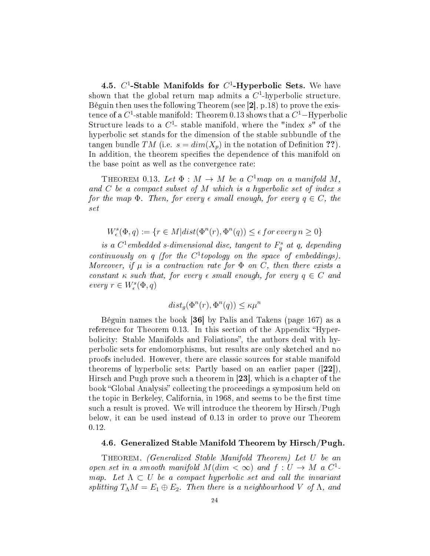4.5.  $C^1$ -Stable Manifolds for  $C^1$ -Hyperbolic Sets. We have shown that the global return map admits a  $C<sup>1</sup>$ -hyperbolic structure. Béguin then uses the following Theorem (see [2], p.18) to prove the existence of a  $C^1$ -stable manifold: Theorem 0.13 shows that a  $C^1$ –Hyperbolic Structure leads to a  $C^1$ -stable manifold, where the "index  $s$ " of the hyperbolic set stands for the dimension of the stable subbundle of the tangen bundle TM (i.e.  $s = dim(X_p)$  in the notation of Definition ??). In addition, the theorem specifies the dependence of this manifold on the base point as well as the convergence rate:

THEOREM 0.13. Let  $\Phi : M \to M$  be a  $C^1$ map on a manifold M, and  $C$  be a compact subset of  $M$  which is a hyperbolic set of index  $s$ for the map  $\Phi$ . Then, for every  $\epsilon$  small enough, for every  $q \in C$ , the set

$$
W^s_\epsilon(\Phi,q):=\{r\in M | dist(\Phi^n(r),\Phi^n(q))\leq \epsilon~for~every~n\geq 0\}
$$

is a  $C^1$ embedded s-dimensional disc, tangent to  $F_q^s$  at q, depending continuously on  $q$  (for the  $C<sup>1</sup>$  topology on the space of embeddings). Moreover, if  $\mu$  is a contraction rate for  $\Phi$  on C, then there exists a constant  $\kappa$  such that, for every  $\epsilon$  small enough, for every  $q \in C$  and every  $r \in W^s_\epsilon(\Phi, q)$ 

$$
dist_g(\Phi^n(r), \Phi^n(q)) \le \kappa \mu^n
$$

Béguin names the book [36] by Palis and Takens (page 167) as a reference for Theorem 0.13. In this section of the Appendix "Hyperbolicity: Stable Manifolds and Foliations", the authors deal with hyperbolic sets for endomorphisms, but results are only sketched and no proofs included. However, there are classic sources for stable manifold theorems of hyperbolic sets: Partly based on an earlier paper ([22]), Hirsch and Pugh prove such a theorem in [23], which is a chapter of the book "Global Analysis" collecting the proceedings a symposium held on the topic in Berkeley, California, in 1968, and seems to be the first time such a result is proved. We will introduce the theorem by Hirsch/Pugh below, it can be used instead of 0.13 in order to prove our Theorem 0.12.

#### 4.6. Generalized Stable Manifold Theorem by Hirsch/Pugh.

Theorem. (Generalized Stable Manifold Theorem) Let U be an open set in a smooth manifold  $M(dim < \infty)$  and  $f: U \to M$  a  $C^1$ . map. Let  $\Lambda \subset U$  be a compact hyperbolic set and call the invariant splitting  $T_{\Lambda}M = E_1 \oplus E_2$ . Then there is a neighbourhood V of  $\Lambda$ , and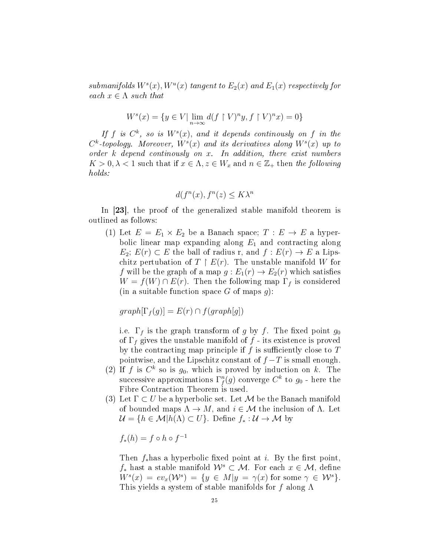submanifolds  $W^s(x)$ ,  $W^u(x)$  tangent to  $E_2(x)$  and  $E_1(x)$  respectively for each  $x \in \Lambda$  such that

$$
Ws(x) = \{ y \in V | \lim_{n \to \infty} d(f \upharpoonright V)^n y, f \upharpoonright V)^n x \} = 0 \}
$$

If f is  $C^k$ , so is  $W^s(x)$ , and it depends continually on f in the  $C^k$ -topology. Moreover,  $W^s(x)$  and its derivatives along  $W^s(x)$  up to order  $k$  depend continuosly on  $x$ . In addition, there exist numbers  $K > 0, \lambda < 1$  such that if  $x \in \Lambda$ ,  $z \in W_x$  and  $n \in \mathbb{Z}_+$  then the following holds:

$$
d(f^n(x), f^n(z) \le K\lambda^n
$$

In [23], the proof of the generalized stable manifold theorem is outlined as follows:

(1) Let  $E = E_1 \times E_2$  be a Banach space;  $T : E \to E$  a hyperbolic linear map expanding along  $E_1$  and contracting along  $E_2$ ;  $E(r) \subset E$  the ball of radius r, and  $f : E(r) \to E$  a Lipschitz pertubation of  $T \restriction E(r)$ . The unstable manifold W for f will be the graph of a map  $g: E_1(r) \to E_2(r)$  which satisfies  $W = f(W) \cap E(r)$ . Then the following map  $\Gamma_f$  is considered (in a suitable function space G of maps  $g$ ):

 $graph[\Gamma_f(g)] = E(r) \cap f(gradh[g])$ 

i.e.  $\Gamma_f$  is the graph transform of g by f. The fixed point  $g_0$ of  $\Gamma_f$  gives the unstable manifold of f - its existence is proved by the contracting map principle if  $f$  is sufficiently close to  $T$ pointwise, and the Lipschitz constant of  $f - T$  is small enough.

- (2) If f is  $C^k$  so is  $g_0$ , which is proved by induction on k. The successive approximations  $\Gamma_f^n(g)$  converge  $C^k$  to  $g_0$  - here the Fibre Contraction Theorem is used.
- (3) Let  $\Gamma \subset U$  be a hyperbolic set. Let M be the Banach manifold of bounded maps  $\Lambda \to M$ , and  $i \in \mathcal{M}$  the inclusion of  $\Lambda$ . Let  $\mathcal{U} = \{h \in \mathcal{M} | h(\Lambda) \subset U\}$ . Define  $f_* : \mathcal{U} \to \mathcal{M}$  by

$$
f_*(h) = f \circ h \circ f^{-1}
$$

Then  $f_*$ has a hyperbolic fixed point at i. By the first point,  $f_*$  hast a stable manifold  $\mathcal{W}^s \subset \mathcal{M}$ . For each  $x \in \mathcal{M}$ , define  $W^s(x) = ev_x(\mathcal{W}^s) = \{y \in M | y = \gamma(x) \text{ for some } \gamma \in \mathcal{W}^s\}.$ This yields a system of stable manifolds for f along  $\Lambda$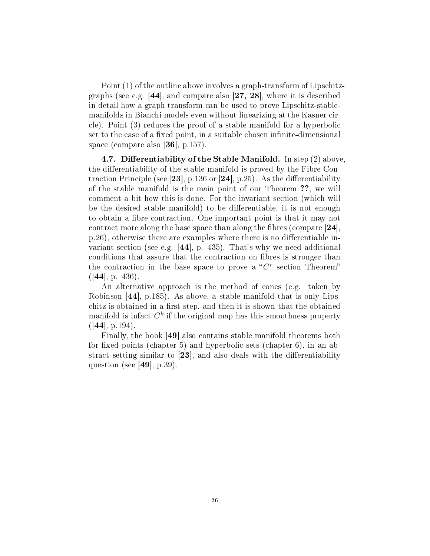Point (1) of the outline above involves a graph-transform of Lipschitzgraphs (see e.g. [44], and compare also [27, 28], where it is described in detail how a graph transform can be used to prove Lipschitz-stablemanifolds in Bianchi models even without linearizing at the Kasner circle). Point (3) reduces the proof of a stable manifold for a hyperbolic set to the case of a fixed point, in a suitable chosen infinite-dimensional space (compare also [36], p.157).

4.7. Differentiability of the Stable Manifold. In step  $(2)$  above, the differentiability of the stable manifold is proved by the Fibre Contraction Principle (see [23], p.136 or [24], p.25). As the differentiability of the stable manifold is the main point of our Theorem ??, we will comment a bit how this is done. For the invariant section (which will be the desired stable manifold) to be differentiable, it is not enough to obtain a fibre contraction. One important point is that it may not contract more along the base space than along the fibres (compare  $[24]$ ,  $p.26$ ), otherwise there are examples where there is no differentiable invariant section (see e.g. [44], p. 435). That's why we need additional conditions that assure that the contraction on fibres is stronger than the contraction in the base space to prove a " $C<sup>r</sup>$  section Theorem"  $(|44|, p. 436).$ 

An alternative approach is the method of cones (e.g. taken by Robinson [44], p.185). As above, a stable manifold that is only Lipschitz is obtained in a first step, and then it is shown that the obtained manifold is infact  $C^k$  if the original map has this smoothness property  $([44], p.194).$ 

Finally, the book [49] also contains stable manifold theorems both for fixed points (chapter 5) and hyperbolic sets (chapter 6), in an abstract setting similar to  $[23]$ , and also deals with the differentiability question (see  $|49|$ , p.39).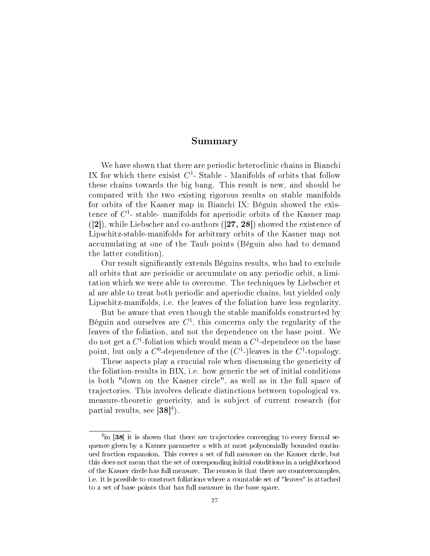#### Summary

We have shown that there are periodic heteroclinic chains in Bianchi IX for which there exisist  $C^1$ - Stable - Manifolds of orbits that follow these chains towards the big bang. This result is new, and should be compared with the two existing rigorous results on stable manifolds for orbits of the Kasner map in Bianchi IX: Béguin showed the existence of  $C^1$ - stable- manifolds for aperiodic orbits of the Kasner map  $([2])$ , while Liebscher and co-authors  $([27, 28])$  showed the existence of Lipschitz-stable-manifolds for arbitrary orbits of the Kasner map not accumulating at one of the Taub points (Béguin also had to demand the latter condition).

Our result signicantly extends Béguins results, who had to exclude all orbits that are perioidic or accumulate on any periodic orbit, a limitation which we were able to overcome. The techniques by Liebscher et al are able to treat both periodic and aperiodic chains, but yielded only Lipschitz-manifolds, i.e. the leaves of the foliation have less regularity.

But be aware that even though the stable manifolds constructed by Béguin and ourselves are  $C^1$ , this concerns only the regularity of the leaves of the foliation, and not the dependence on the base point. We do not get a  $C^1$ -foliation which would mean a  $C^1$ -dependece on the base point, but only a  $C^0$ -dependence of the  $(C^1)$ -leaves in the  $C^1$ -topology.

These aspects play a crucuial role when discussing the genericity of the foliation-results in BIX, i.e. how generic the set of initial conditions is both "down on the Kasner circle", as well as in the full space of trajectories. This involves delicate distinctions between topological vs. measure-theoretic genericity, and is subject of current research (for partial results, see  $\tilde{[}38]$ <sup>4</sup>).

<sup>&</sup>lt;sup>4</sup>in [38] it is shown that there are trajectories converging to every formal sequence given by a Kasner parameter  $u$  with at most polynomially bounded continued fraction expansion. This covers a set of full measure on the Kasner circle, but this does not mean that the set of coresponding initial conditions in a neighborhood of the Kasner circle has full measure. The reason is that there are counterexamples, i.e. it is possible to construct foliations where a countable set of "leaves" is attached to a set of base points that has full measure in the base space.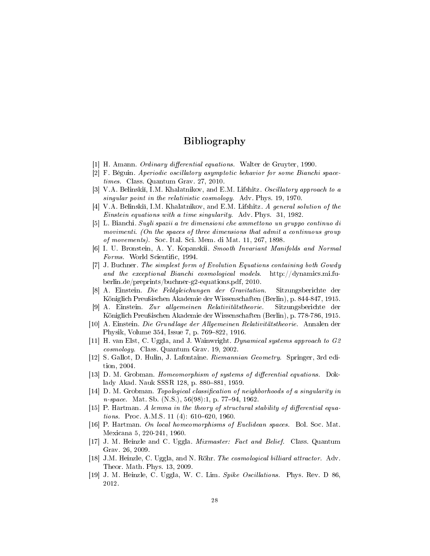## Bibliography

- [1] H. Amann. *Ordinary differential equations*. Walter de Gruyter, 1990.
- [2] F. Béguin. Aperiodic oscillatory asymptotic behavior for some Bianchi spacetimes. Class. Quantum Grav. 27, 2010.
- [3] V.A. Belinski, I.M. Khalatnikov, and E.M. Lifshitz. Oscillatory approach to a singular point in the relativistic cosmology. Adv. Phys. 19, 1970.
- [4] V.A. Belinski, I.M. Khalatnikov, and E.M. Lifshitz. A general solution of the Einstein equations with a time singularity. Adv. Phys. 31, 1982.
- [5] L. Bianchi. Sugli spazii a tre dimensioni che ammettono un gruppo continuo di movimenti. (On the spaces of three dimensions that admit a continuous group of movements). Soc. Ital. Sci. Mem. di Mat. 11, 267, 1898.
- [6] I. U. Bronstein, A. Y. Kopanskii. Smooth Invariant Manifolds and Normal Forms. World Scientific, 1994.
- [7] J. Buchner. The simplest form of Evolution Equations containing both Gowdy and the exceptional Bianchi cosmological models. http://dynamics.mi.fuberlin.de/preprints/buchner-g2-equations.pdf, 2010.
- [8] A. Einstein. Die Feldgleichungen der Gravitation. Sitzungsberichte der Königlich Preußischen Akademie der Wissenschaften (Berlin), p. 844-847, 1915.
- [9] A. Einstein. Zur allgemeinen Relativitätstheorie. Sitzungsberichte der Königlich Preußischen Akademie der Wissenschaften (Berlin), p. 778-786, 1915.
- [10] A. Einstein. Die Grundlage der Allgemeinen Relativitätstheorie. Annalen der Physik, Volume 354, Issue 7, p. 769-822, 1916.
- [11] H. van Elst, C. Uggla, and J. Wainwright. Dynamical systems approach to G2 cosmology. Class. Quantum Grav. 19, 2002.
- [12] S. Gallot, D. Hulin, J. Lafontaine. Riemannian Geometry. Springer, 3rd edition, 2004.
- [13] D. M. Grobman. Homeomorphism of systems of differential equations. Doklady Akad. Nauk SSSR 128, p. 880-881, 1959.
- [14] D. M. Grobman. Topological classification of neighborhoods of a singularity in  $n\text{-}space.$  Mat. Sb. (N.S.),  $56(98):1$ , p. 77-94, 1962.
- [15] P. Hartman. A lemma in the theory of structural stability of differential equations. Proc. A.M.S. 11 (4):  $610-620$ , 1960.
- [16] P. Hartman. On local homeomorphisms of Euclidean spaces. Bol. Soc. Mat. Mexicana 5, 220-241, 1960.
- [17] J. M. Heinzle and C. Uggla. Mixmaster: Fact and Belief. Class. Quantum Grav. 26, 2009.
- [18] J.M. Heinzle, C. Uggla, and N. Röhr. The cosmological billiard attractor. Adv. Theor. Math. Phys. 13, 2009.
- [19] J. M. Heinzle, C. Uggla, W. C. Lim. Spike Oscillations. Phys. Rev. D 86, 2012.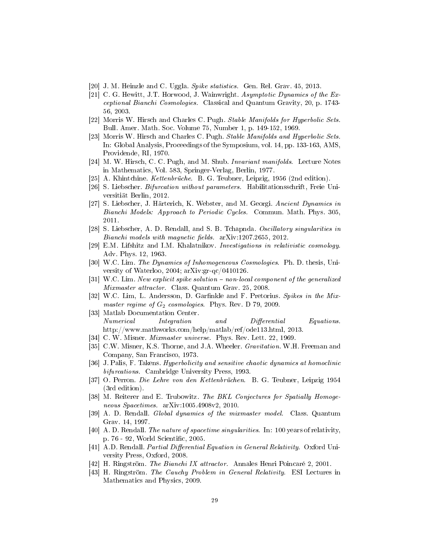- [20] J. M. Heinzle and C. Uggla. Spike statistics. Gen. Rel. Grav. 45, 2013.
- [21] C. G. Hewitt, J.T. Horwood, J. Wainwright. Asymptotic Dynamics of the Exceptional Bianchi Cosmologies. Classical and Quantum Gravity, 20, p. 1743- 56, 2003.
- [22] Morris W. Hirsch and Charles C. Pugh. Stable Manifolds for Hyperbolic Sets. Bull. Amer. Math. Soc. Volume 75, Number 1, p. 149-152, 1969.
- [23] Morris W. Hirsch and Charles C. Pugh. *Stable Manifolds and Hyperbolic Sets.* In: Global Analysis, Proceedings of the Symposium, vol. 14, pp. 133-163, AMS, Providende, RI, 1970.
- [24] M. W. Hirsch, C. C. Pugh, and M. Shub. Invariant manifolds. Lecture Notes in Mathematics, Vol. 583, Springer-Verlag, Berlin, 1977.
- [25] A. Khintchine. Kettenbrüche. B. G. Teubner, Leipzig, 1956 (2nd edition).
- [26] S. Liebscher. Bifurcation without parameters. Habilitationsschrift, Freie Universitiät Berlin, 2012.
- [27] S. Liebscher, J. Härterich, K. Webster, and M. Georgi. Ancient Dynamics in Bianchi Models: Approach to Periodic Cycles. Commun. Math. Phys. 305, 2011.
- [28] S. Liebscher, A. D. Rendall, and S. B. Tchapnda. Oscillatory singularities in  $Bianchi$  models with magnetic fields.  $arXiv:1207.2655$ , 2012.
- [29] E.M. Lifshitz and I.M. Khalatnikov. Investigations in relativistic cosmology. Adv. Phys. 12, 1963.
- [30] W.C. Lim. The Dynamics of Inhomogeneous Cosmologies. Ph. D. thesis, University of Waterloo, 2004; arXiv:gr-qc/0410126.
- $[31]$  W.C. Lim. New explicit spike solution  $-$  non-local component of the generalized Mixmaster attractor. Class. Quantum Grav. 25, 2008.
- [32] W.C. Lim, L. Andersson, D. Garfinkle and F. Pretorius. Spikes in the Mixmaster regime of  $G_2$  cosmologies. Phys. Rev. D 79, 2009.
- [33] Matlab Documentation Center. Numerical Integration and Differential Equations. http://www.mathworks.com/help/matlab/ref/ode113.html, 2013.
- [34] C. W. Misner. *Mixmaster universe.* Phys. Rev. Lett. 22, 1969.
- [35] C.W. Misner, K.S. Thorne, and J.A. Wheeler. Gravitation. W.H. Freeman and Company, San Francisco, 1973.
- [36] J. Palis, F. Takens. Hyperbolicity and sensitive chaotic dynamics at homoclinic bifurcations. Cambridge University Press, 1993.
- [37] O. Perron. Die Lehre von den Kettenbrüchen. B. G. Teubner, Leipzig 1954 (3rd edition).
- [38] M. Reiterer and E. Trubowitz. The BKL Conjectures for Spatially Homogeneous Spacetimes. arXiv:1005.4908v2, 2010.
- [39] A. D. Rendall. Global dynamics of the mixmaster model. Class. Quantum Grav. 14, 1997.
- [40] A. D. Rendall. The nature of spacetime singularities. In: 100 years of relativity, p. 76 - 92, World Scientific, 2005.
- [41] A.D. Rendall. Partial Differential Equation in General Relativity. Oxford University Press, Oxford, 2008.
- [42] H. Ringström. The Bianchi IX attractor. Annales Henri Poincaré 2, 2001.
- [43] H. Ringström. The Cauchy Problem in General Relativity. ESI Lectures in Mathematics and Physics, 2009.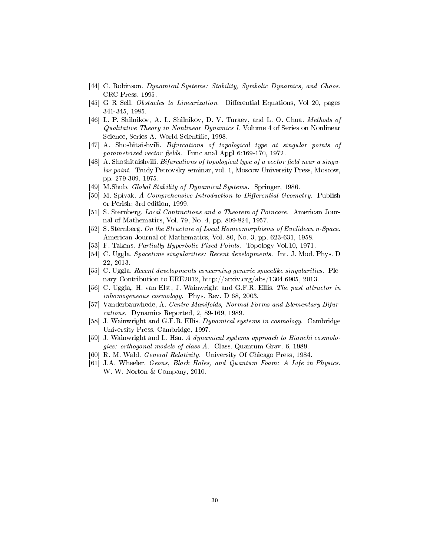- [44] C. Robinson. Dynamical Systems: Stability, Symbolic Dynamics, and Chaos. CRC Press, 1995.
- [45] G R Sell. Obstacles to Linearization. Differential Equations, Vol 20, pages 341-345, 1985.
- [46] L. P. Shilnikov, A. L. Shilnikov, D. V. Turaev, and L. O. Chua. Methods of Qualitative Theory in Nonlinear Dynamics I. Volume 4 of Series on Nonlinear Science, Series A, World Scientific, 1998.
- [47] A. Shoshitaishvili. Bifurcations of topological type at singular points of parametrized vector fields. Func anal Appl  $6:169-170$ , 1972.
- [48] A. Shoshitaishvili. Bifurcations of topological type of a vector field near a singular point. Trudy Petrovsky seminar, vol. 1, Moscow University Press, Moscow, pp. 279-309, 1975.
- [49] M.Shub. Global Stability of Dynamical Systems. Springer, 1986.
- [50] M. Spivak. A Comprehensive Introduction to Differential Geometry. Publish or Perish; 3rd edition, 1999.
- [51] S. Sternberg. Local Contractions and a Theorem of Poincare. American Journal of Mathematics, Vol. 79, No. 4, pp. 809-824, 1957.
- [52] S. Sternberg. On the Structure of Local Homeomorphisms of Euclidean n-Space. American Journal of Mathematics, Vol. 80, No. 3, pp. 623-631, 1958.
- [53] F. Takens. Partially Hyperbolic Fixed Points. Topology Vol.10, 1971.
- [54] C. Uggla. Spacetime singularities: Recent developments. Int. J. Mod. Phys. D 22, 2013.
- [55] C. Uggla. Recent developments concerning generic spacelike singularities. Plenary Contribution to ERE2012, http://arxiv.org/abs/1304.6905, 2013.
- [56] C. Uggla,, H. van Elst, J. Wainwright and G.F.R. Ellis. The past attractor in inhomogeneous cosmology. Phys. Rev. D 68, 2003.
- [57] Vanderbauwhede, A. Centre Manifolds, Normal Forms and Elementary Bifurcations. Dynamics Reported, 2, 89-169, 1989.
- [58] J. Wainwright and G.F.R. Ellis. Dynamical systems in cosmology. Cambridge University Press, Cambridge, 1997.
- [59] J. Wainwright and L. Hsu. A dynamical systems approach to Bianchi cosmologies: orthogonal models of class A. Class. Quantum Grav. 6, 1989.
- [60] R. M. Wald. General Relativity. University Of Chicago Press, 1984.
- [61] J.A. Wheeler. Geons, Black Holes, and Quantum Foam: A Life in Physics. W. W. Norton & Company, 2010.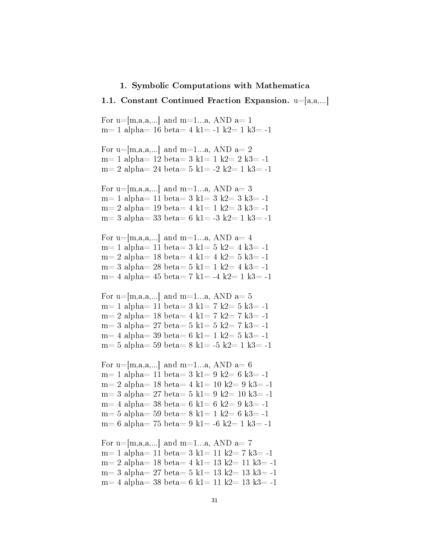#### 1. Symbolic Computations with Mathematica

#### 1.1. Constant Continued Fraction Expansion.  $u=[a,a,...]$

For  $u=[m,a,a,...]$  and  $m=1...a$ , AND  $a=1$ m= 1 alpha= 16 beta= 4 k1= -1 k2= 1 k3= -1 For  $u=[m,a,a,...]$  and  $m=1...a$ , AND  $a=2$ m= 1 alpha=  $12 \text{ beta} = 3 \text{ k1} = 1 \text{ k2} = 2 \text{ k3} = -1$ m= 2 alpha= 24 beta=  $5$  k1=  $-2$  k2= 1 k3=  $-1$ For  $u=[m,a,a,...]$  and  $m=1...a$ , AND  $a=3$ m= 1 alpha= 11 beta= 3 k1= 3 k2= 3 k3= -1  $m= 2$  alpha= 19 beta= 4 k1= 1 k2= 3 k3= -1 m= 3 alpha= 33 beta= 6 k1= -3 k2= 1 k3= -1 For  $u=[m,a,a,...]$  and  $m=1...a$ , AND  $a=4$ m= 1 alpha= 11 beta= 3 k1= 5 k2= 4 k3= -1 m= 2 alpha= 18 beta= 4 k1= 4 k2= 5 k3= -1 m= 3 alpha= 28 beta= 5 k1= 1 k2= 4 k3= -1 m= 4 alpha=  $45 \text{ beta} = 7 \text{ k1} = -4 \text{ k2} = 1 \text{ k3} = -1$ For  $u=[m,a,a,...]$  and  $m=1...a$ , AND  $a=5$ m= 1 alpha= 11 beta= 3 k1= 7 k2= 5 k3= -1 m= 2 alpha= 18 beta= 4 k1= 7 k2= 7 k3= -1 m= 3 alpha= 27 beta= 5 k1= 5 k2= 7 k3= -1  $m= 4$  alpha= 39 beta= 6 k1= 1 k2= 5 k3= -1 m= 5 alpha= 59 beta= 8 k1= -5 k2= 1 k3= -1 For  $u=$ [m,a,a,...] and m=1...a, AND a= 6 m= 1 alpha= 11 beta= 3 k1= 9 k2= 6 k3= -1 m= 2 alpha= 18 beta= 4 k1= 10 k2= 9 k3= -1 m= 3 alpha= 27 beta= 5 k1= 9 k2= 10 k3= -1 m= 4 alpha= 38 beta= 6 k1= 6 k2= 9 k3= -1 m= 5 alpha= 59 beta= 8 k1= 1 k2= 6 k3= -1 m= 6 alpha= 75 beta= 9 k1= -6 k2= 1 k3= -1 For  $u=[m,a,a,...]$  and  $m=1...a$ , AND  $a=7$ m= 1 alpha= 11 beta= 3 k1= 11 k2= 7 k3= -1 m= 2 alpha= 18 beta= 4 k1= 13 k2= 11 k3= -1 m= 3 alpha= 27 beta= 5 k1= 13 k2= 13 k3= -1 m= 4 alpha= 38 beta= 6 k1= 11 k2= 13 k3= -1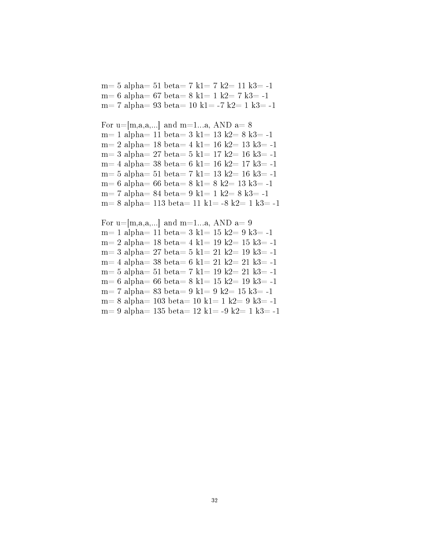m= 5 alpha= 51 beta= 7 k1= 7 k2= 11 k3= -1 m= 6 alpha= 67 beta= 8 k1= 1 k2= 7 k3= -1 m= 7 alpha= 93 beta= 10 k1= -7 k2= 1 k3= -1

```
For u=[m,a,a,...] and m=1...a, AND a=8m= 1 alpha= 11 beta= 3 k1= 13 k2= 8 k3= -1
m= 2 alpha= 18 beta= 4 k1= 16 k2= 13 k3= -1
m= 3 alpha= 27 beta= 5 k1= 17 k2= 16 k3= -1
m= 4 alpha= 38 beta= 6 k1= 16 k2= 17 k3= -1
m= 5 alpha= 51 beta= 7 k1= 13 k2= 16 k3= -1m= 6 alpha= 66 beta= 8 k1= 8 k2= 13 k3= -1
m= 7 alpha= 84 beta= 9 k1= 1 k2= 8 k3= -1
m= 8 alpha= 113 beta= 11 k1= -8 k2= 1 k3= -1
```

```
For u=[m,a,a,...] and m=1...a, AND a=9m= 1 alpha= 11 beta= 3 k1= 15 k2= 9 k3= -1
m= 2 alpha= 18 \text{ beta} = 4 \text{ k1} = 19 \text{ k2} = 15 \text{ k3} = -1m= 3 alpha= 27 beta= 5 k1= 21 k2= 19 k3= -1
m= 4 alpha= 38 beta= 6 k1= 21 k2= 21 k3= -1
m= 5 alpha= 51 beta= 7 k1= 19 k2= 21 k3= -1m= 6 alpha= 66 beta= 8 k1= 15 k2= 19 k3= -1
m= 7 alpha= 83 beta= 9 k1= 9 k2= 15 k3= -1
m= 8 alpha= 103 beta= 10 k1= 1 k2= 9 k3= -1
m= 9 alpha= 135 beta= 12 k1= -9 k2= 1 k3= -1
```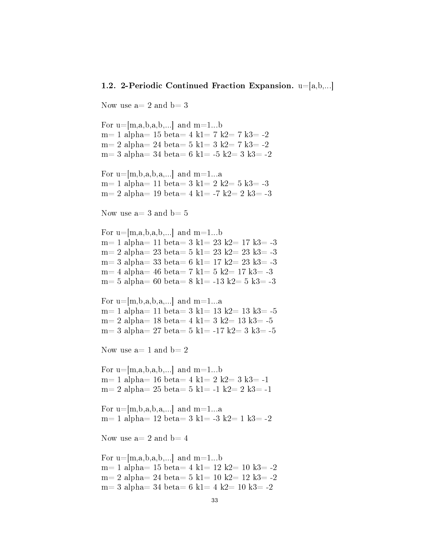#### 1.2. 2-Periodic Continued Fraction Expansion.  $u=[a,b,...]$

Now use  $a=2$  and  $b=3$ 

For  $u=[m,a,b,a,b,...]$  and  $m=1...b$ m= 1 alpha=  $15$  beta=  $4$  k1=  $7$  k2=  $7$  k3=  $-2$ m= 2 alpha= 24 beta= 5 k1= 3 k2= 7 k3=  $-2$ m= 3 alpha= 34 beta= 6 k1= -5 k2= 3 k3= -2

For  $u=[m,b,a,b,a,...]$  and  $m=1...a$ m= 1 alpha= 11 beta= 3 k1= 2 k2= 5 k3= -3 m= 2 alpha= 19 beta= 4 k1= -7 k2= 2 k3= -3

Now use  $a=3$  and  $b=5$ 

For  $u=[m,a,b,a,b,...]$  and  $m=1...b$ m= 1 alpha= 11 beta= 3 k1= 23 k2= 17 k3= -3 m= 2 alpha= 23 beta=  $5$  k1=  $23$  k2=  $23$  k3=  $-3$ m= 3 alpha= 33 beta= 6 k1= 17 k2= 23 k3= -3 m= 4 alpha= 46 beta= 7 k1= 5 k2= 17 k3= -3 m= 5 alpha= 60 beta= 8 k1= -13 k2= 5 k3= -3

For  $u=[m,b,a,b,a,...]$  and  $m=1...a$ m= 1 alpha= 11 beta= 3 k1= 13 k2= 13 k3=  $-5$ m= 2 alpha=  $18$  beta=  $4$  k1=  $3$  k2=  $13$  k3=  $-5$ m= 3 alpha= 27 beta= 5 k1= -17 k2= 3 k3= -5

Now use  $a=1$  and  $b=2$ 

For  $u=[m,a,b,a,b,...]$  and  $m=1...b$ m= 1 alpha= 16 beta= 4 k1= 2 k2= 3 k3= -1 m= 2 alpha= 25 beta= 5 k1= -1 k2= 2 k3= -1

For  $u=[m,b,a,b,a,...]$  and  $m=1...a$  $m= 1$  alpha= 12 beta= 3 k1= -3 k2= 1 k3= -2

Now use  $a=2$  and  $b=4$ 

For  $u=[m,a,b,a,b,...]$  and  $m=1...b$ m= 1 alpha=  $15 \text{ beta} = 4 \text{ k1} = 12 \text{ k2} = 10 \text{ k3} = -2$ m= 2 alpha= 24 beta= 5 k1= 10 k2= 12 k3= -2  $m= 3$  alpha= 34 beta= 6 k1= 4 k2= 10 k3= -2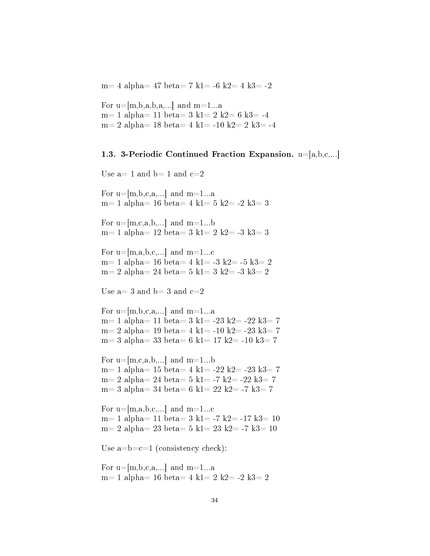m= 4 alpha= 47 beta= 7 k1= -6 k2= 4 k3= -2

For  $u=[m,b,a,b,a,...]$  and  $m=1...a$ m= 1 alpha= 11 beta= 3 k1= 2 k2= 6 k3= -4 m= 2 alpha= 18 beta= 4 k1= -10 k2= 2 k3= -4

#### 1.3. 3-Periodic Continued Fraction Expansion.  $u=[a,b,c,...]$

```
Use a=1 and b=1 and c=2For u=[m,b,c,a,...] and m=1...am= 1 alpha= 16 beta= 4 k1= 5 k2= -2 k3= 3
For u=[m,c,a,b,...] and m=1...bm= 1 alpha= 12 \text{ beta} = 3 \text{ k1} = 2 \text{ k2} = -3 \text{ k3} = 3For u=[m,a,b,c,...] and m=1...cm= 1 alpha= 16 \text{ beta} = 4 \text{ k1} = -3 \text{ k2} = -5 \text{ k3} = 2m= 2 alpha= 24 beta= 5 k1= 3 k2= -3 k3= 2
Use a=3 and b=3 and c=2For u=[m,b,c,a,...] and m=1...am= 1 alpha= 11 beta= 3 k1= -23 k2= -22 k3= 7
m= 2 alpha= 19 beta= 4 k1= -10 k2= -23 k3= 7
m= 3 alpha= 33 beta= 6 k1= 17 k2= -10 k3= 7
For u=[m,c,a,b,...] and m=1...bm= 1 alpha= 15 beta= 4 k1= -22 k2= -23 k3= 7
m= 2 alpha= 24 beta= 5 k1= -7 k2= -22 k3= 7m= 3 alpha= 34 beta= 6 k1= 22 k2= -7 k3= 7
For u=[m,a,b,c,...] and m=1...cm= 1 alpha= 11 beta= 3 k1= -7 k2= -17 k3= 10
m= 2 alpha= 23 beta= 5 k1= 23 k2= -7 k3= 10Use a=b=c=1 (consistency check):
For u=[m,b,c,a,...] and m=1...am= 1 alpha= 16 beta= 4 k1= 2 k2= -2 k3= 2
```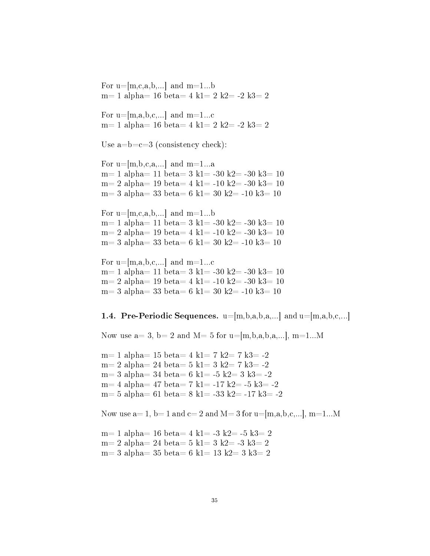For  $u=[m,c,a,b,...]$  and  $m=1...b$ m= 1 alpha=  $16 \text{ beta} = 4 \text{ k1} = 2 \text{ k2} = -2 \text{ k3} = 2$ 

For  $u=[m,a,b,c,...]$  and  $m=1...c$ m= 1 alpha= 16 beta= 4 k1= 2 k2= -2 k3= 2

Use  $a=b=c=3$  (consistency check):

For  $u=[m,b,c,a,...]$  and  $m=1...a$ m= 1 alpha= 11 beta= 3 k1= -30 k2= -30 k3= 10 m= 2 alpha= 19 beta= 4 k1= -10 k2= -30 k3= 10 m= 3 alpha= 33 beta= 6 k1= 30 k2= -10 k3= 10

For  $u=[m,c,a,b,...]$  and  $m=1...b$ m= 1 alpha= 11 beta= 3 k1= -30 k2= -30 k3= 10 m= 2 alpha= 19 beta= 4 k1= -10 k2= -30 k3= 10 m= 3 alpha= 33 beta= 6 k1= 30 k2= -10 k3= 10

For u= $[m,a,b,c,...]$  and m=1...c m= 1 alpha= 11 beta=  $3 \text{ k1}$ = -30 k2= -30 k3= 10 m= 2 alpha= 19 beta= 4 k1= -10 k2= -30 k3= 10 m= 3 alpha= 33 beta= 6 k1= 30 k2= -10 k3= 10

**1.4. Pre-Periodic Sequences.**  $u=[m,b,a,b,a,...]$  and  $u=[m,a,b,c,...]$ 

Now use  $a=3$ ,  $b=2$  and  $M=5$  for  $u=[m,b,a,b,a,...], m=1...M$ 

m= 1 alpha=  $15 \text{ beta} = 4 \text{ k1} = 7 \text{ k2} = 7 \text{ k3} = -2$ m= 2 alpha= 24 beta= 5 k1= 3 k2= 7 k3= -2 m= 3 alpha= 34 beta= 6 k1= -5 k2= 3 k3= -2 m= 4 alpha= 47 beta= 7 k1= -17 k2= -5 k3= -2 m= 5 alpha= 61 beta= 8 k1= -33 k2= -17 k3= -2

Now use  $a=1$ ,  $b=1$  and  $c=2$  and  $M=3$  for  $u=[m,a,b,c,...]$ ,  $m=1...M$ 

m= 1 alpha= 16 beta= 4 k1= -3 k2= -5 k3= 2 m= 2 alpha= 24 beta= 5 k1= 3 k2= -3 k3= 2 m= 3 alpha= 35 beta= 6 k1= 13 k2= 3 k3= 2